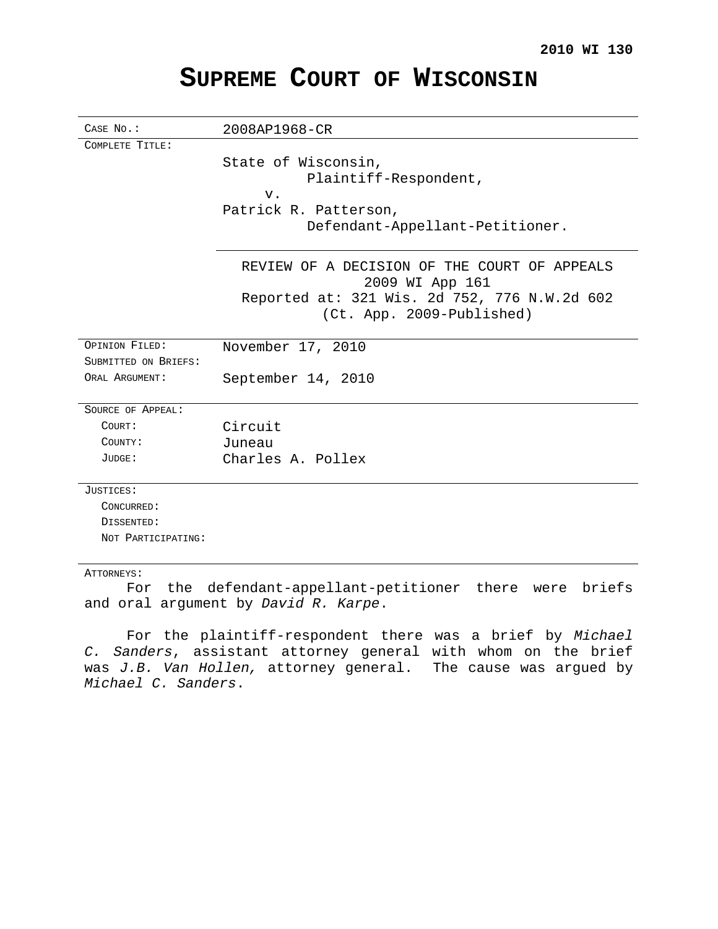# **SUPREME COURT OF WISCONSIN**

| CASE No.:            | 2008AP1968-CR                                                             |
|----------------------|---------------------------------------------------------------------------|
| COMPLETE TITLE:      |                                                                           |
|                      | State of Wisconsin,                                                       |
|                      | Plaintiff-Respondent,                                                     |
|                      | v.                                                                        |
|                      | Patrick R. Patterson,                                                     |
|                      | Defendant-Appellant-Petitioner.                                           |
|                      | REVIEW OF A DECISION OF THE COURT OF APPEALS<br>2009 WI App 161           |
|                      | Reported at: 321 Wis. 2d 752, 776 N.W.2d 602<br>(Ct. App. 2009-Published) |
| OPINION FILED:       | November 17, 2010                                                         |
| SUBMITTED ON BRIEFS: |                                                                           |
| ORAL ARGUMENT:       | September 14, 2010                                                        |
| SOURCE OF APPEAL:    |                                                                           |
| COURT:               | Circuit                                                                   |
| COUNTY:              | Juneau                                                                    |
| JUDGE:               | Charles A. Pollex                                                         |
| JUSTICES:            |                                                                           |
| CONCURRED:           |                                                                           |
| DISSENTED:           |                                                                           |
| NOT PARTICIPATING:   |                                                                           |
|                      |                                                                           |

## ATTORNEYS:

For the defendant-appellant-petitioner there were briefs and oral argument by David R. Karpe.

For the plaintiff-respondent there was a brief by Michael C. Sanders, assistant attorney general with whom on the brief was J.B. Van Hollen, attorney general. The cause was argued by Michael C. Sanders.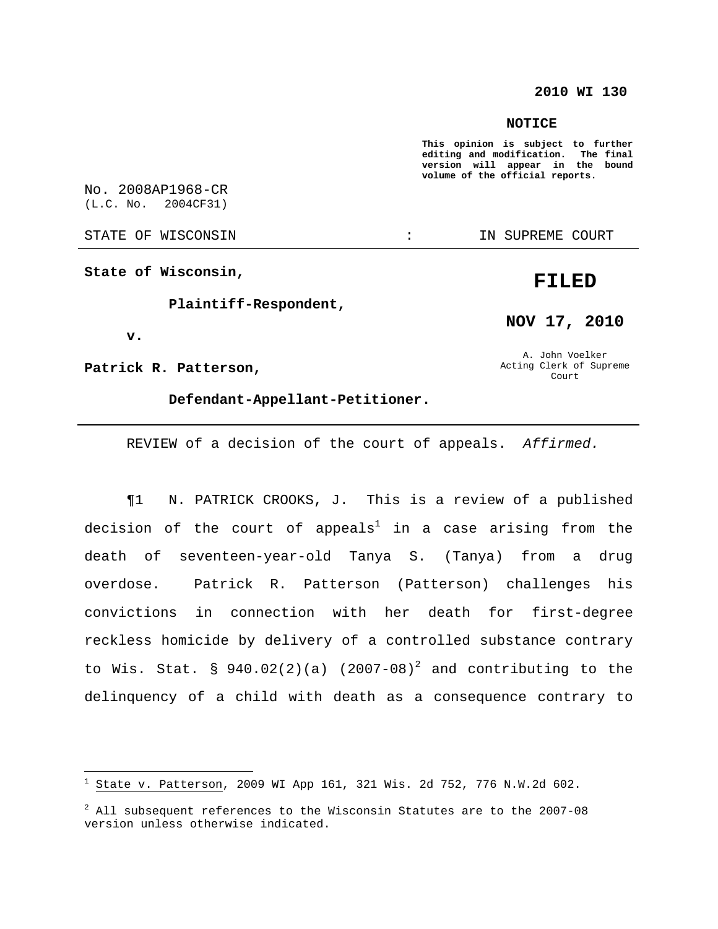## **2010 WI 130**

#### **NOTICE**

**This opinion is subject to further editing** and modification. **version will appear in the bound volume of the official reports.**

No. 2008AP1968-CR (L.C. No. 2004CF31)

STATE OF WISCONSIN  $\cdots$  in Supreme court

**State of Wisconsin,**

## **Plaintiff-Respondent,**

**v.**

**Patrick R. Patterson,**

## **Defendant-Appellant-Petitioner.**

REVIEW of a decision of the court of appeals. Affirmed.

¶1 N. PATRICK CROOKS, J. This is a review of a published decision of the court of appeals $^1$  in a case arising from the death of seventeen-year-old Tanya S. (Tanya) from a drug overdose. Patrick R. Patterson (Patterson) challenges his convictions in connection with her death for first-degree reckless homicide by delivery of a controlled substance contrary to Wis. Stat. § 940.02(2)(a) (2007-08)<sup>2</sup> and contributing to the delinquency of a child with death as a consequence contrary to

## **FILED**

**NOV 17, 2010**

A. John Voelker Acting Clerk of Supreme Court

 $1$  State v. Patterson, 2009 WI App 161, 321 Wis. 2d 752, 776 N.W.2d 602.

 $2^2$  All subsequent references to the Wisconsin Statutes are to the 2007-08 version unless otherwise indicated.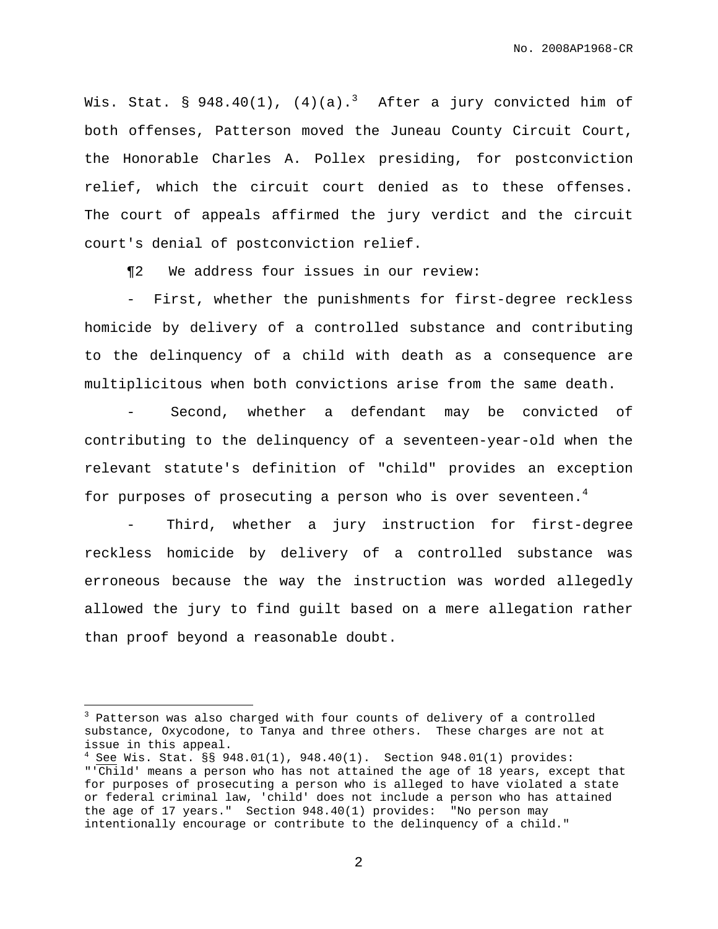Wis. Stat. § 948.40(1), (4)(a).<sup>3</sup> After a jury convicted him of both offenses, Patterson moved the Juneau County Circuit Court, the Honorable Charles A. Pollex presiding, for postconviction relief, which the circuit court denied as to these offenses. The court of appeals affirmed the jury verdict and the circuit court's denial of postconviction relief.

¶2 We address four issues in our review:

- First, whether the punishments for first-degree reckless homicide by delivery of a controlled substance and contributing to the delinquency of a child with death as a consequence are multiplicitous when both convictions arise from the same death.

Second, whether a defendant may be convicted of contributing to the delinquency of a seventeen-year-old when the relevant statute's definition of "child" provides an exception for purposes of prosecuting a person who is over seventeen.<sup>4</sup>

Third, whether a jury instruction for first-degree reckless homicide by delivery of a controlled substance was erroneous because the way the instruction was worded allegedly allowed the jury to find guilt based on a mere allegation rather than proof beyond a reasonable doubt.

 $3$  Patterson was also charged with four counts of delivery of a controlled substance, Oxycodone, to Tanya and three others. These charges are not at issue in this appeal.

 $4$  See Wis. Stat. §§ 948.01(1), 948.40(1). Section 948.01(1) provides: "'Child' means a person who has not attained the age of 18 years, except that for purposes of prosecuting a person who is alleged to have violated a state or federal criminal law, 'child' does not include a person who has attained the age of 17 years." Section 948.40(1) provides: "No person may intentionally encourage or contribute to the delinquency of a child."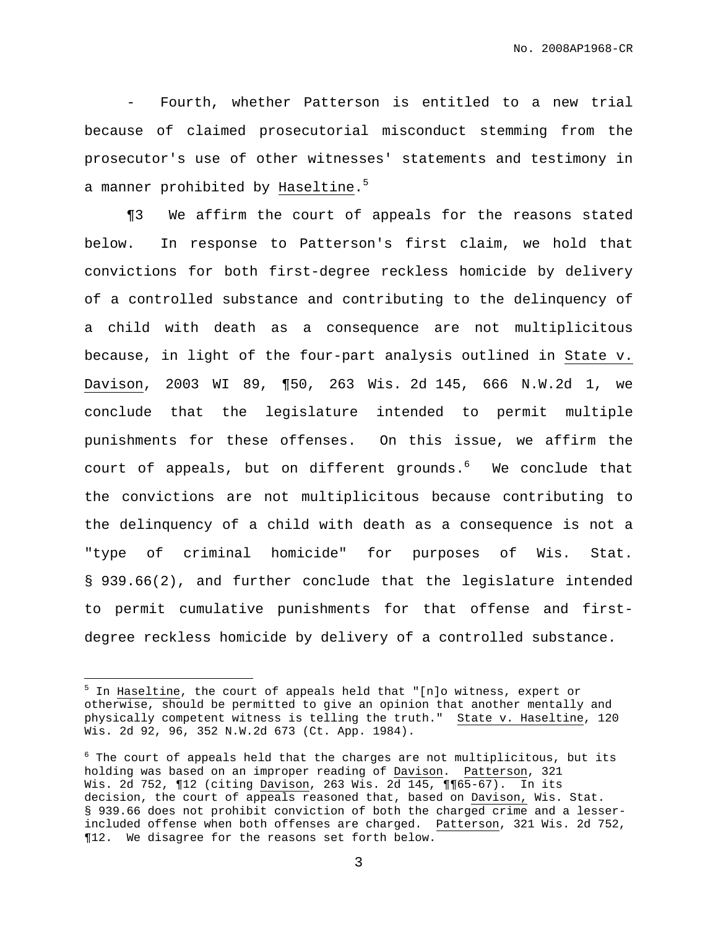- Fourth, whether Patterson is entitled to a new trial because of claimed prosecutorial misconduct stemming from the prosecutor's use of other witnesses' statements and testimony in a manner prohibited by Haseltine.<sup>5</sup>

¶3 We affirm the court of appeals for the reasons stated below. In response to Patterson's first claim, we hold that convictions for both first-degree reckless homicide by delivery of a controlled substance and contributing to the delinquency of a child with death as a consequence are not multiplicitous because, in light of the four-part analysis outlined in State v. Davison, 2003 WI 89, ¶50, 263 Wis. 2d 145, 666 N.W.2d 1, we conclude that the legislature intended to permit multiple punishments for these offenses. On this issue, we affirm the court of appeals, but on different grounds.<sup>6</sup> We conclude that the convictions are not multiplicitous because contributing to the delinquency of a child with death as a consequence is not a "type of criminal homicide" for purposes of Wis. Stat. § 939.66(2), and further conclude that the legislature intended to permit cumulative punishments for that offense and firstdegree reckless homicide by delivery of a controlled substance.

<sup>&</sup>lt;sup>5</sup> In Haseltine, the court of appeals held that "[n]o witness, expert or otherwise, should be permitted to give an opinion that another mentally and physically competent witness is telling the truth." State v. Haseltine, 120 Wis. 2d 92, 96, 352 N.W.2d 673 (Ct. App. 1984).

 $6$  The court of appeals held that the charges are not multiplicitous, but its holding was based on an improper reading of Davison. Patterson, 321 Wis. 2d 752, ¶12 (citing Davison, 263 Wis. 2d 145, ¶¶65-67). In its decision, the court of appeals reasoned that, based on Davison, Wis. Stat. § 939.66 does not prohibit conviction of both the charged crime and a lesserincluded offense when both offenses are charged. Patterson, 321 Wis. 2d 752, ¶12. We disagree for the reasons set forth below.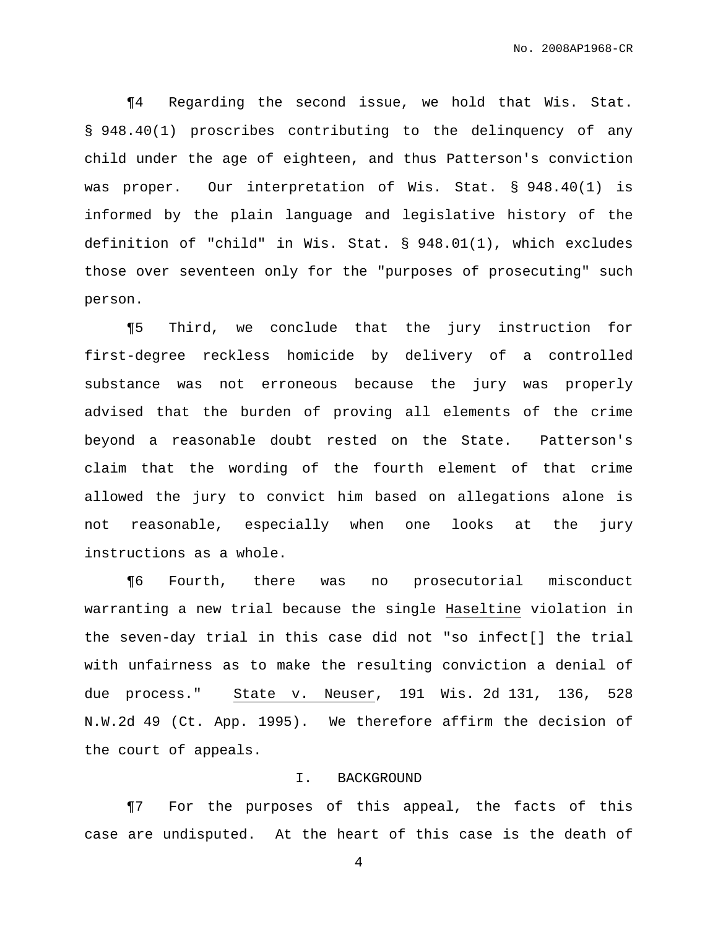¶4 Regarding the second issue, we hold that Wis. Stat. § 948.40(1) proscribes contributing to the delinquency of any child under the age of eighteen, and thus Patterson's conviction was proper. Our interpretation of Wis. Stat. § 948.40(1) is informed by the plain language and legislative history of the definition of "child" in Wis. Stat. § 948.01(1), which excludes those over seventeen only for the "purposes of prosecuting" such person.

¶5 Third, we conclude that the jury instruction for first-degree reckless homicide by delivery of a controlled substance was not erroneous because the jury was properly advised that the burden of proving all elements of the crime beyond a reasonable doubt rested on the State. Patterson's claim that the wording of the fourth element of that crime allowed the jury to convict him based on allegations alone is not reasonable, especially when one looks at the jury instructions as a whole.

¶6 Fourth, there was no prosecutorial misconduct warranting a new trial because the single Haseltine violation in the seven-day trial in this case did not "so infect[] the trial with unfairness as to make the resulting conviction a denial of due process." State v. Neuser, 191 Wis. 2d 131, 136, 528 N.W.2d 49 (Ct. App. 1995). We therefore affirm the decision of the court of appeals.

### I. BACKGROUND

¶7 For the purposes of this appeal, the facts of this case are undisputed. At the heart of this case is the death of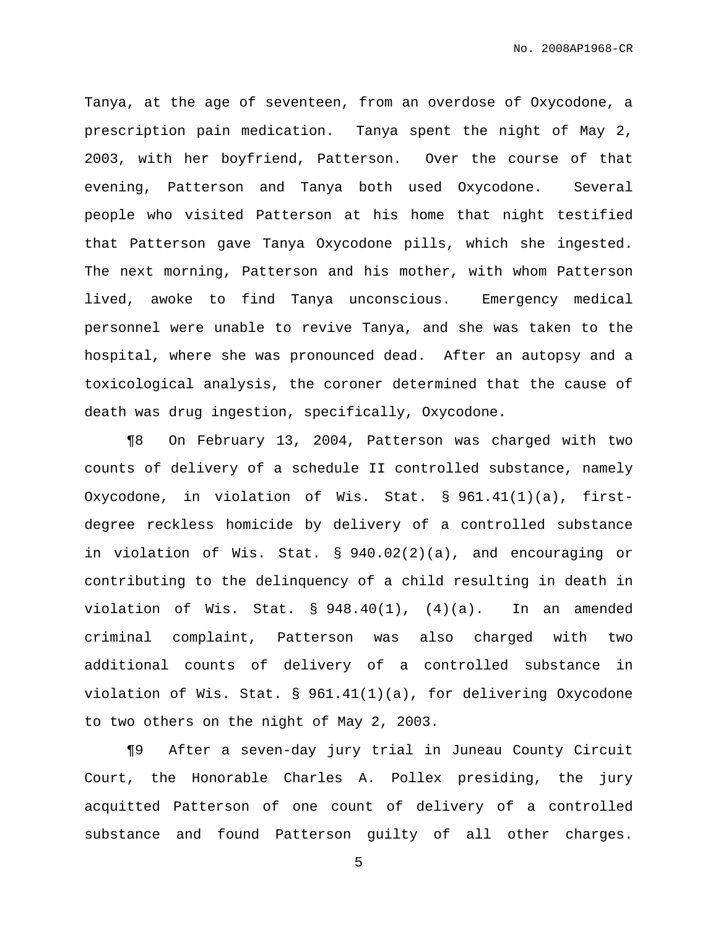Tanya, at the age of seventeen, from an overdose of Oxycodone, a prescription pain medication. Tanya spent the night of May 2, 2003, with her boyfriend, Patterson. Over the course of that evening, Patterson and Tanya both used Oxycodone. Several people who visited Patterson at his home that night testified that Patterson gave Tanya Oxycodone pills, which she ingested. The next morning, Patterson and his mother, with whom Patterson lived, awoke to find Tanya unconscious. Emergency medical personnel were unable to revive Tanya, and she was taken to the hospital, where she was pronounced dead. After an autopsy and a toxicological analysis, the coroner determined that the cause of death was drug ingestion, specifically, Oxycodone.

¶8 On February 13, 2004, Patterson was charged with two counts of delivery of a schedule II controlled substance, namely Oxycodone, in violation of Wis. Stat. § 961.41(1)(a), firstdegree reckless homicide by delivery of a controlled substance in violation of Wis. Stat. § 940.02(2)(a), and encouraging or contributing to the delinquency of a child resulting in death in violation of Wis. Stat.  $\S$  948.40(1), (4)(a). In an amended criminal complaint, Patterson was also charged with two additional counts of delivery of a controlled substance in violation of Wis. Stat. § 961.41(1)(a), for delivering Oxycodone to two others on the night of May 2, 2003.

¶9 After a seven-day jury trial in Juneau County Circuit Court, the Honorable Charles A. Pollex presiding, the jury acquitted Patterson of one count of delivery of a controlled substance and found Patterson guilty of all other charges.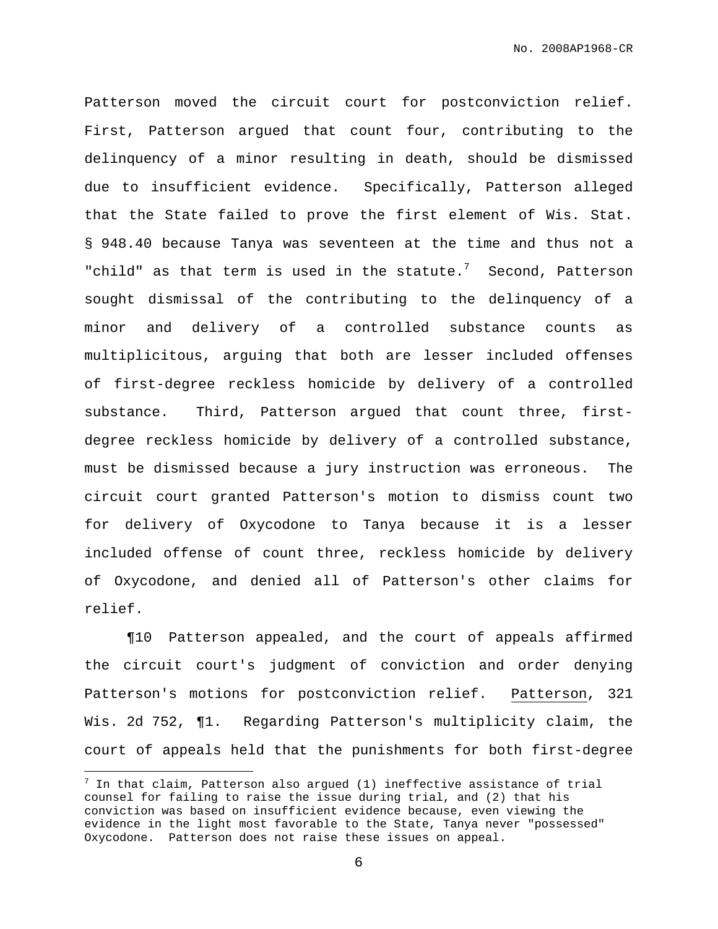Patterson moved the circuit court for postconviction relief. First, Patterson argued that count four, contributing to the delinquency of a minor resulting in death, should be dismissed due to insufficient evidence. Specifically, Patterson alleged that the State failed to prove the first element of Wis. Stat. § 948.40 because Tanya was seventeen at the time and thus not a "child" as that term is used in the statute. $7$  Second, Patterson sought dismissal of the contributing to the delinquency of a minor and delivery of a controlled substance counts as multiplicitous, arguing that both are lesser included offenses of first-degree reckless homicide by delivery of a controlled substance. Third, Patterson argued that count three, firstdegree reckless homicide by delivery of a controlled substance, must be dismissed because a jury instruction was erroneous. The circuit court granted Patterson's motion to dismiss count two for delivery of Oxycodone to Tanya because it is a lesser included offense of count three, reckless homicide by delivery of Oxycodone, and denied all of Patterson's other claims for relief.

¶10 Patterson appealed, and the court of appeals affirmed the circuit court's judgment of conviction and order denying Patterson's motions for postconviction relief. Patterson, 321 Wis. 2d 752, ¶1. Regarding Patterson's multiplicity claim, the court of appeals held that the punishments for both first-degree

 $^7$  In that claim, Patterson also argued (1) ineffective assistance of trial counsel for failing to raise the issue during trial, and (2) that his conviction was based on insufficient evidence because, even viewing the evidence in the light most favorable to the State, Tanya never "possessed" Oxycodone. Patterson does not raise these issues on appeal.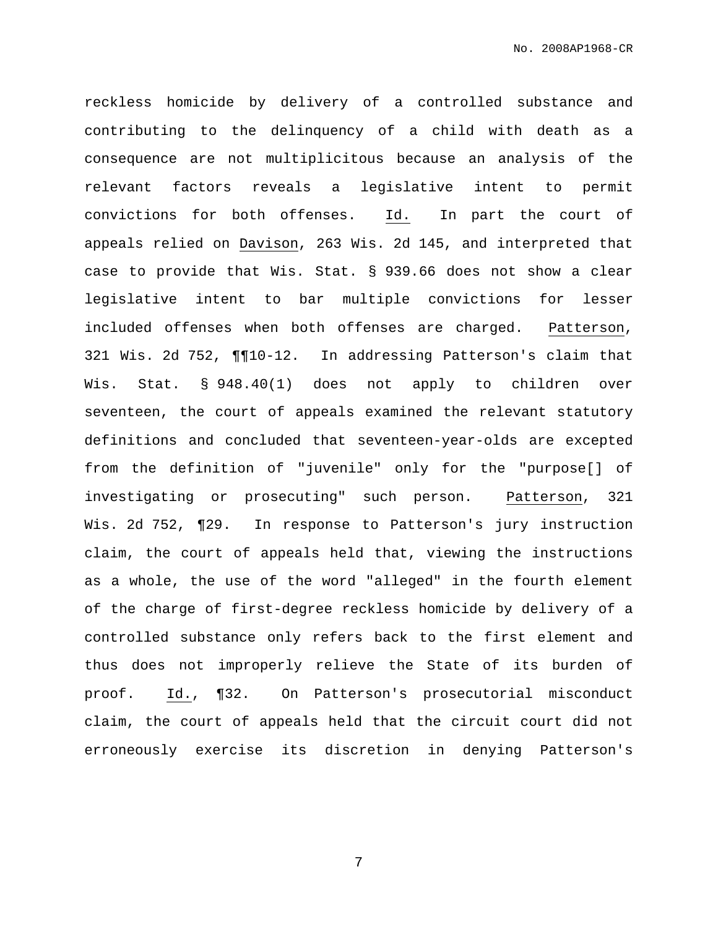reckless homicide by delivery of a controlled substance and contributing to the delinquency of a child with death as a consequence are not multiplicitous because an analysis of the relevant factors reveals a legislative intent to permit convictions for both offenses. Id. In part the court of appeals relied on Davison, 263 Wis. 2d 145, and interpreted that case to provide that Wis. Stat. § 939.66 does not show a clear legislative intent to bar multiple convictions for lesser included offenses when both offenses are charged. Patterson, 321 Wis. 2d 752, ¶¶10-12. In addressing Patterson's claim that Wis. Stat. § 948.40(1) does not apply to children over seventeen, the court of appeals examined the relevant statutory definitions and concluded that seventeen-year-olds are excepted from the definition of "juvenile" only for the "purpose[] of investigating or prosecuting" such person. Patterson, 321 Wis. 2d 752, ¶29. In response to Patterson's jury instruction claim, the court of appeals held that, viewing the instructions as a whole, the use of the word "alleged" in the fourth element of the charge of first-degree reckless homicide by delivery of a controlled substance only refers back to the first element and thus does not improperly relieve the State of its burden of proof. Id., ¶32. On Patterson's prosecutorial misconduct claim, the court of appeals held that the circuit court did not erroneously exercise its discretion in denying Patterson's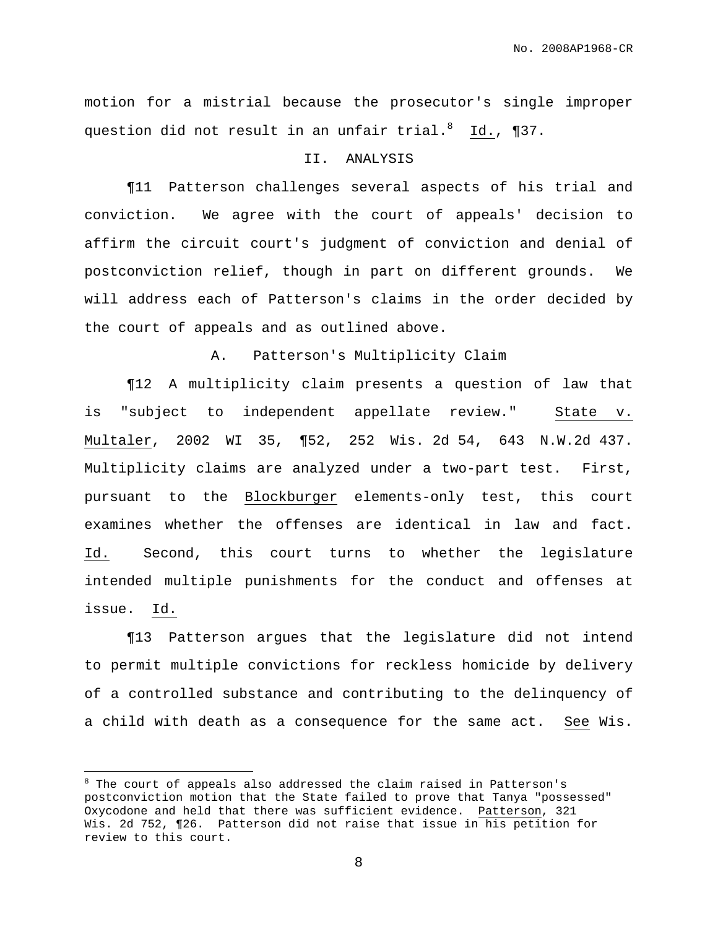motion for a mistrial because the prosecutor's single improper question did not result in an unfair trial. <sup>8</sup> Id., ¶37.

## II. ANALYSIS

¶11 Patterson challenges several aspects of his trial and conviction. We agree with the court of appeals' decision to affirm the circuit court's judgment of conviction and denial of postconviction relief, though in part on different grounds. We will address each of Patterson's claims in the order decided by the court of appeals and as outlined above.

A. Patterson's Multiplicity Claim

¶12 A multiplicity claim presents a question of law that is "subject to independent appellate review." State v. Multaler, 2002 WI 35, ¶52, 252 Wis. 2d 54, 643 N.W.2d 437. Multiplicity claims are analyzed under a two-part test. First, pursuant to the Blockburger elements-only test, this court examines whether the offenses are identical in law and fact. Id. Second, this court turns to whether the legislature intended multiple punishments for the conduct and offenses at issue. Id.

¶13 Patterson argues that the legislature did not intend to permit multiple convictions for reckless homicide by delivery of a controlled substance and contributing to the delinquency of a child with death as a consequence for the same act. See Wis.

 $8$  The court of appeals also addressed the claim raised in Patterson's postconviction motion that the State failed to prove that Tanya "possessed" Oxycodone and held that there was sufficient evidence. Patterson, 321 Wis. 2d 752, ¶26. Patterson did not raise that issue in his petition for review to this court.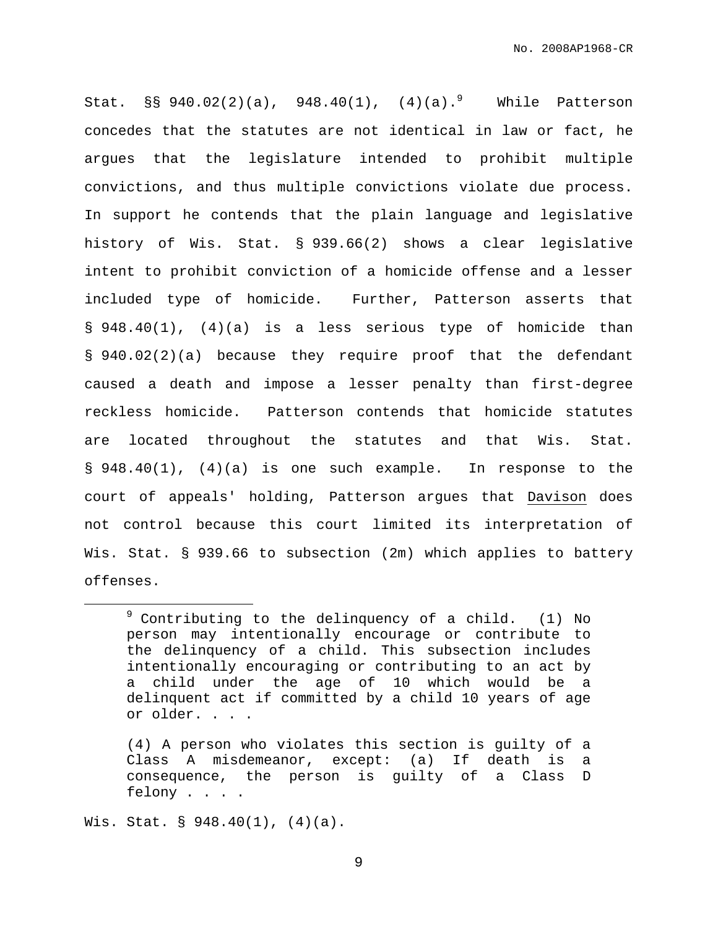Stat.  $\S$ § 940.02(2)(a), 948.40(1), (4)(a).<sup>9</sup> While Patterson concedes that the statutes are not identical in law or fact, he argues that the legislature intended to prohibit multiple convictions, and thus multiple convictions violate due process. In support he contends that the plain language and legislative history of Wis. Stat. § 939.66(2) shows a clear legislative intent to prohibit conviction of a homicide offense and a lesser included type of homicide. Further, Patterson asserts that § 948.40(1), (4)(a) is a less serious type of homicide than § 940.02(2)(a) because they require proof that the defendant caused a death and impose a lesser penalty than first-degree reckless homicide. Patterson contends that homicide statutes are located throughout the statutes and that Wis. Stat. § 948.40(1), (4)(a) is one such example. In response to the court of appeals' holding, Patterson argues that Davison does not control because this court limited its interpretation of Wis. Stat. § 939.66 to subsection (2m) which applies to battery offenses.

Wis. Stat. § 948.40(1), (4)(a).

 $9$  Contributing to the delinquency of a child. (1) No person may intentionally encourage or contribute to the delinquency of a child. This subsection includes intentionally encouraging or contributing to an act by a child under the age of 10 which would be a delinquent act if committed by a child 10 years of age or older. . . .

<sup>(4)</sup> A person who violates this section is guilty of a Class A misdemeanor, except: (a) If death is a consequence, the person is guilty of a Class D felony . . . .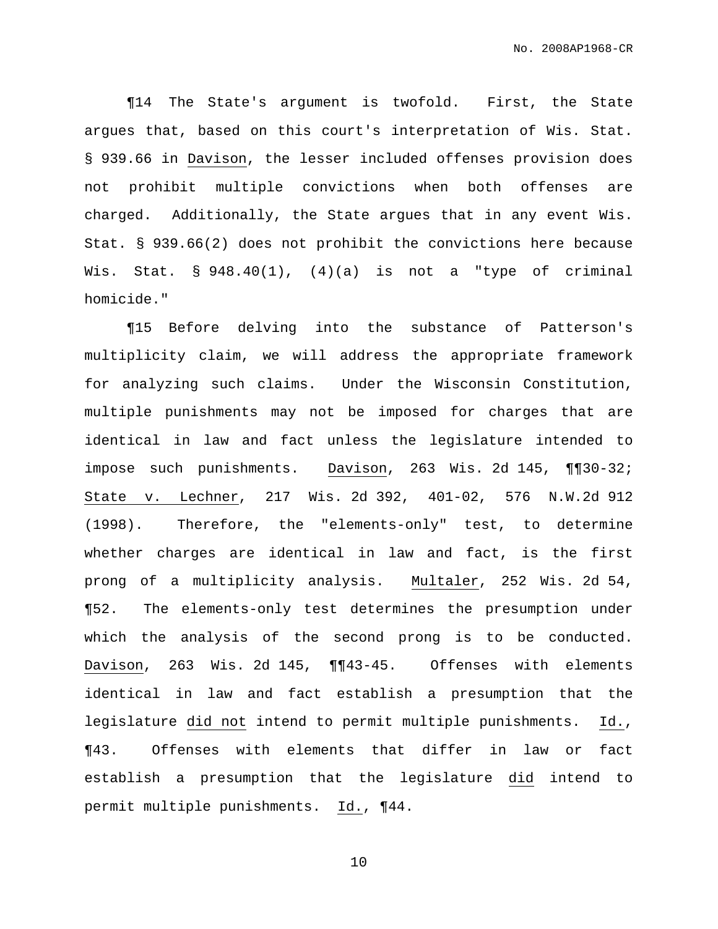¶14 The State's argument is twofold. First, the State argues that, based on this court's interpretation of Wis. Stat. § 939.66 in Davison, the lesser included offenses provision does not prohibit multiple convictions when both offenses are charged. Additionally, the State argues that in any event Wis. Stat. § 939.66(2) does not prohibit the convictions here because Wis. Stat. § 948.40(1), (4)(a) is not a "type of criminal homicide."

¶15 Before delving into the substance of Patterson's multiplicity claim, we will address the appropriate framework for analyzing such claims. Under the Wisconsin Constitution, multiple punishments may not be imposed for charges that are identical in law and fact unless the legislature intended to impose such punishments. Davison, 263 Wis. 2d 145, ¶¶30-32; State v. Lechner, 217 Wis. 2d 392, 401-02, 576 N.W.2d 912 (1998). Therefore, the "elements-only" test, to determine whether charges are identical in law and fact, is the first prong of a multiplicity analysis. Multaler, 252 Wis. 2d 54, ¶52. The elements-only test determines the presumption under which the analysis of the second prong is to be conducted. Davison, 263 Wis. 2d 145, ¶¶43-45. Offenses with elements identical in law and fact establish a presumption that the legislature did not intend to permit multiple punishments. Id., ¶43. Offenses with elements that differ in law or fact establish a presumption that the legislature did intend to permit multiple punishments. Id., ¶44.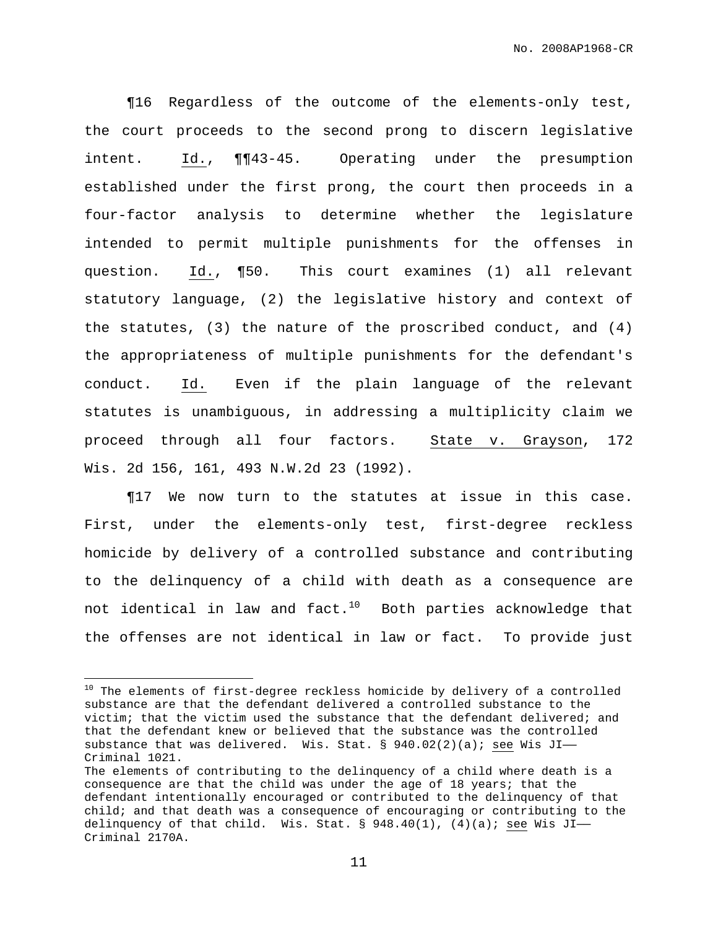¶16 Regardless of the outcome of the elements-only test, the court proceeds to the second prong to discern legislative intent. Id., ¶¶43-45. Operating under the presumption established under the first prong, the court then proceeds in a four-factor analysis to determine whether the legislature intended to permit multiple punishments for the offenses in question. Id., ¶50. This court examines (1) all relevant statutory language, (2) the legislative history and context of the statutes, (3) the nature of the proscribed conduct, and (4) the appropriateness of multiple punishments for the defendant's conduct. Id. Even if the plain language of the relevant statutes is unambiguous, in addressing a multiplicity claim we proceed through all four factors. State v. Grayson, 172 Wis. 2d 156, 161, 493 N.W.2d 23 (1992).

¶17 We now turn to the statutes at issue in this case. First, under the elements-only test, first-degree reckless homicide by delivery of a controlled substance and contributing to the delinquency of a child with death as a consequence are not identical in law and fact. $^{10}$  Both parties acknowledge that the offenses are not identical in law or fact. To provide just

<sup>&</sup>lt;sup>10</sup> The elements of first-degree reckless homicide by delivery of a controlled substance are that the defendant delivered a controlled substance to the victim; that the victim used the substance that the defendant delivered; and that the defendant knew or believed that the substance was the controlled substance that was delivered. Wis. Stat. §  $940.02(2)(a)$ ; see Wis JI-Criminal 1021.

The elements of contributing to the delinquency of a child where death is a consequence are that the child was under the age of 18 years; that the defendant intentionally encouraged or contributed to the delinquency of that child; and that death was a consequence of encouraging or contributing to the delinquency of that child. Wis. Stat.  $\S$  948.40(1), (4)(a); see Wis JI-Criminal 2170A.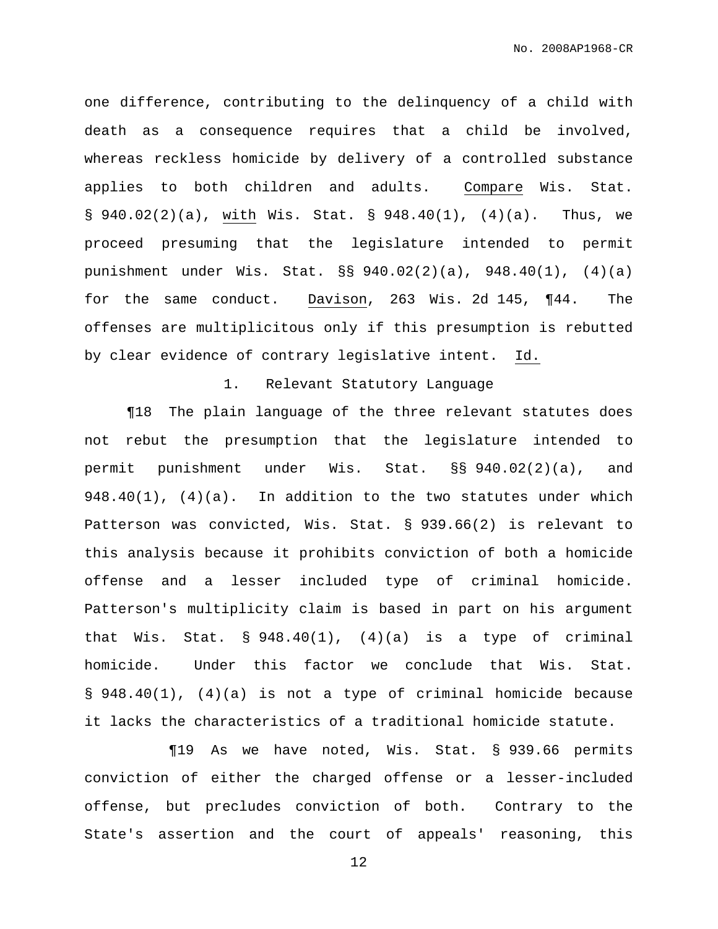one difference, contributing to the delinquency of a child with death as a consequence requires that a child be involved, whereas reckless homicide by delivery of a controlled substance applies to both children and adults. Compare Wis. Stat. §  $940.02(2)(a)$ , with Wis. Stat. §  $948.40(1)$ ,  $(4)(a)$ . Thus, we proceed presuming that the legislature intended to permit punishment under Wis. Stat. §§ 940.02(2)(a), 948.40(1), (4)(a) for the same conduct. Davison, 263 Wis. 2d 145, ¶44. The offenses are multiplicitous only if this presumption is rebutted by clear evidence of contrary legislative intent. Id.

### 1. Relevant Statutory Language

¶18 The plain language of the three relevant statutes does not rebut the presumption that the legislature intended to permit punishment under Wis. Stat. §§ 940.02(2)(a), and  $948.40(1)$ ,  $(4)(a)$ . In addition to the two statutes under which Patterson was convicted, Wis. Stat. § 939.66(2) is relevant to this analysis because it prohibits conviction of both a homicide offense and a lesser included type of criminal homicide. Patterson's multiplicity claim is based in part on his argument that Wis. Stat. § 948.40(1), (4)(a) is a type of criminal homicide. Under this factor we conclude that Wis. Stat. § 948.40(1), (4)(a) is not a type of criminal homicide because it lacks the characteristics of a traditional homicide statute.

¶19 As we have noted, Wis. Stat. § 939.66 permits conviction of either the charged offense or a lesser-included offense, but precludes conviction of both. Contrary to the State's assertion and the court of appeals' reasoning, this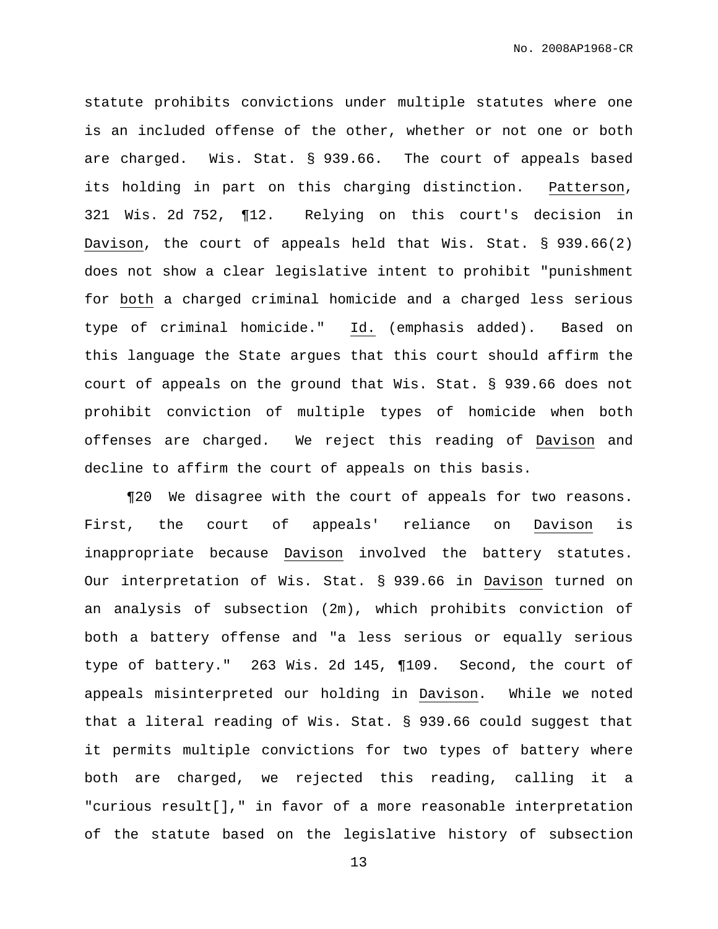statute prohibits convictions under multiple statutes where one is an included offense of the other, whether or not one or both are charged. Wis. Stat. § 939.66. The court of appeals based its holding in part on this charging distinction. Patterson, 321 Wis. 2d 752, ¶12. Relying on this court's decision in Davison, the court of appeals held that Wis. Stat. § 939.66(2) does not show a clear legislative intent to prohibit "punishment for both a charged criminal homicide and a charged less serious type of criminal homicide." Id. (emphasis added). Based on this language the State argues that this court should affirm the court of appeals on the ground that Wis. Stat. § 939.66 does not prohibit conviction of multiple types of homicide when both offenses are charged. We reject this reading of Davison and decline to affirm the court of appeals on this basis.

¶20 We disagree with the court of appeals for two reasons. First, the court of appeals' reliance on Davison is inappropriate because Davison involved the battery statutes. Our interpretation of Wis. Stat. § 939.66 in Davison turned on an analysis of subsection (2m), which prohibits conviction of both a battery offense and "a less serious or equally serious type of battery." 263 Wis. 2d 145, ¶109. Second, the court of appeals misinterpreted our holding in Davison. While we noted that a literal reading of Wis. Stat. § 939.66 could suggest that it permits multiple convictions for two types of battery where both are charged, we rejected this reading, calling it a "curious result[]," in favor of a more reasonable interpretation of the statute based on the legislative history of subsection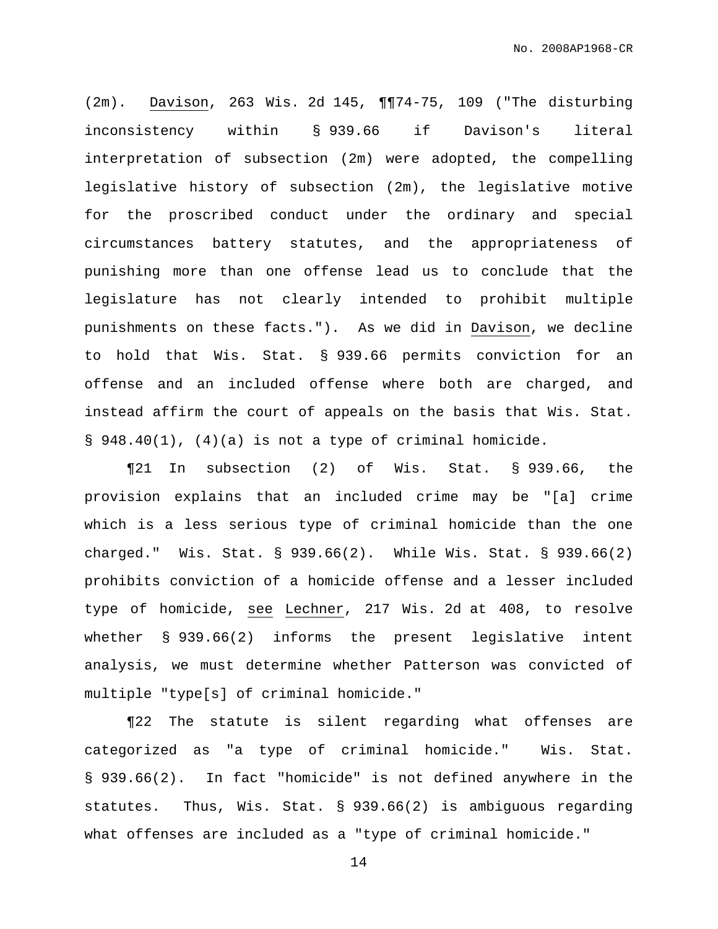(2m). Davison, 263 Wis. 2d 145, ¶¶74-75, 109 ("The disturbing inconsistency within § 939.66 if Davison's literal interpretation of subsection (2m) were adopted, the compelling legislative history of subsection (2m), the legislative motive for the proscribed conduct under the ordinary and special circumstances battery statutes, and the appropriateness of punishing more than one offense lead us to conclude that the legislature has not clearly intended to prohibit multiple punishments on these facts."). As we did in Davison, we decline to hold that Wis. Stat. § 939.66 permits conviction for an offense and an included offense where both are charged, and instead affirm the court of appeals on the basis that Wis. Stat. § 948.40(1), (4)(a) is not a type of criminal homicide.

¶21 In subsection (2) of Wis. Stat. § 939.66, the provision explains that an included crime may be "[a] crime which is a less serious type of criminal homicide than the one charged." Wis. Stat. § 939.66(2). While Wis. Stat. § 939.66(2) prohibits conviction of a homicide offense and a lesser included type of homicide, see Lechner, 217 Wis. 2d at 408, to resolve whether § 939.66(2) informs the present legislative intent analysis, we must determine whether Patterson was convicted of multiple "type[s] of criminal homicide."

¶22 The statute is silent regarding what offenses are categorized as "a type of criminal homicide." Wis. Stat. § 939.66(2). In fact "homicide" is not defined anywhere in the statutes. Thus, Wis. Stat. § 939.66(2) is ambiguous regarding what offenses are included as a "type of criminal homicide."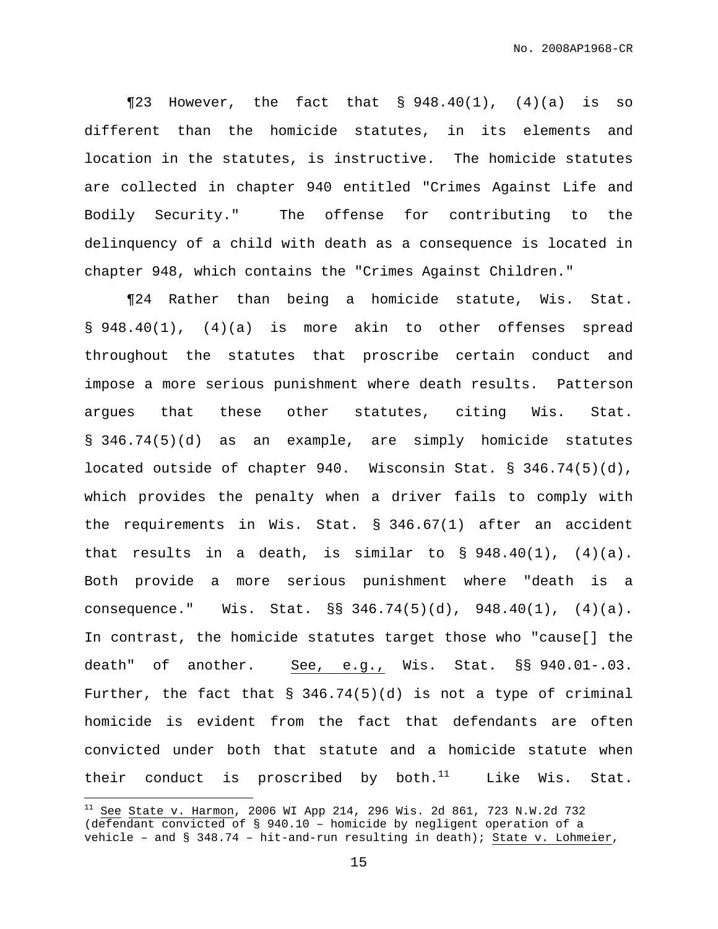$\P$ 23 However, the fact that § 948.40(1), (4)(a) is so different than the homicide statutes, in its elements and location in the statutes, is instructive. The homicide statutes are collected in chapter 940 entitled "Crimes Against Life and Bodily Security." The offense for contributing to the delinquency of a child with death as a consequence is located in chapter 948, which contains the "Crimes Against Children."

¶24 Rather than being a homicide statute, Wis. Stat. § 948.40(1), (4)(a) is more akin to other offenses spread throughout the statutes that proscribe certain conduct and impose a more serious punishment where death results. Patterson argues that these other statutes, citing Wis. Stat. § 346.74(5)(d) as an example, are simply homicide statutes located outside of chapter 940. Wisconsin Stat. § 346.74(5)(d), which provides the penalty when a driver fails to comply with the requirements in Wis. Stat. § 346.67(1) after an accident that results in a death, is similar to  $\S$  948.40(1), (4)(a). Both provide a more serious punishment where "death is a consequence." Wis. Stat. §§ 346.74(5)(d), 948.40(1), (4)(a). In contrast, the homicide statutes target those who "cause[] the death" of another. See, e.g., Wis. Stat. §§ 940.01-.03. Further, the fact that  $\S$  346.74(5)(d) is not a type of criminal homicide is evident from the fact that defendants are often convicted under both that statute and a homicide statute when their conduct is proscribed by both. $^{11}$  Like Wis. Stat.

 $11$  See State v. Harmon, 2006 WI App 214, 296 Wis. 2d 861, 723 N.W.2d 732 (defendant convicted of § 940.10 – homicide by negligent operation of a vehicle – and § 348.74 – hit-and-run resulting in death); State v. Lohmeier,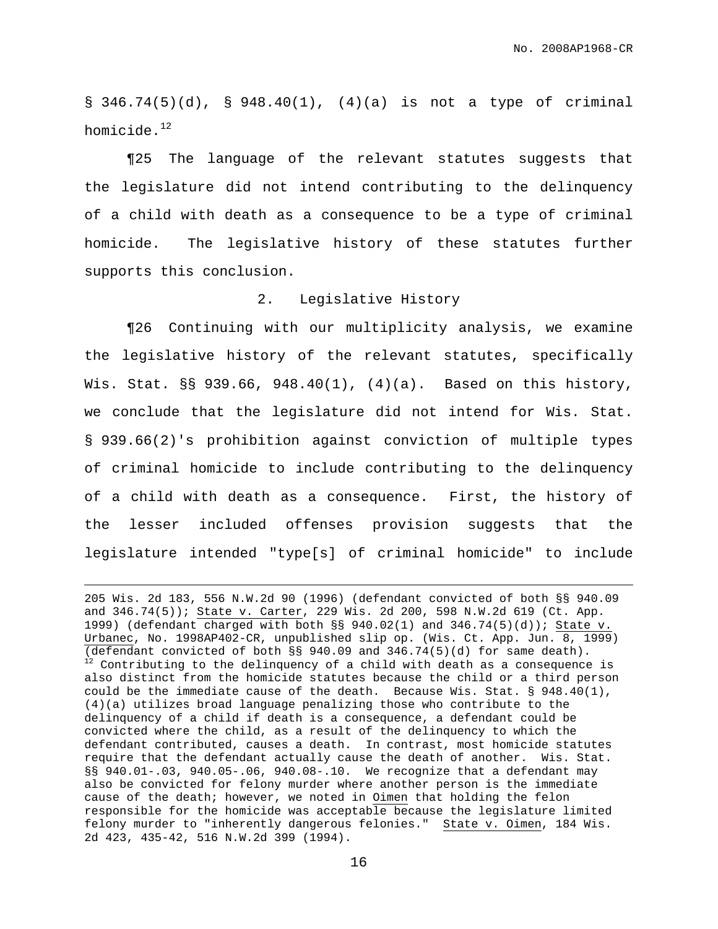§ 346.74(5)(d), § 948.40(1), (4)(a) is not a type of criminal homicide. $^{12}$ 

¶25 The language of the relevant statutes suggests that the legislature did not intend contributing to the delinquency of a child with death as a consequence to be a type of criminal homicide. The legislative history of these statutes further supports this conclusion.

## 2. Legislative History

¶26 Continuing with our multiplicity analysis, we examine the legislative history of the relevant statutes, specifically Wis. Stat. §§ 939.66, 948.40(1), (4)(a). Based on this history, we conclude that the legislature did not intend for Wis. Stat. § 939.66(2)'s prohibition against conviction of multiple types of criminal homicide to include contributing to the delinquency of a child with death as a consequence. First, the history of the lesser included offenses provision suggests that the legislature intended "type[s] of criminal homicide" to include

<sup>205</sup> Wis. 2d 183, 556 N.W.2d 90 (1996) (defendant convicted of both §§ 940.09 and 346.74(5)); State v. Carter, 229 Wis. 2d 200, 598 N.W.2d 619 (Ct. App. 1999) (defendant charged with both  $\S$ § 940.02(1) and 346.74(5)(d)); State v. Urbanec, No. 1998AP402-CR, unpublished slip op. (Wis. Ct. App. Jun. 8, 1999) (defendant convicted of both §§ 940.09 and 346.74(5)(d) for same death).  $12$  Contributing to the delinquency of a child with death as a consequence is also distinct from the homicide statutes because the child or a third person could be the immediate cause of the death. Because Wis. Stat. § 948.40(1), (4)(a) utilizes broad language penalizing those who contribute to the delinquency of a child if death is a consequence, a defendant could be convicted where the child, as a result of the delinquency to which the defendant contributed, causes a death. In contrast, most homicide statutes require that the defendant actually cause the death of another. Wis. Stat. §§ 940.01-.03, 940.05-.06, 940.08-.10. We recognize that a defendant may also be convicted for felony murder where another person is the immediate cause of the death; however, we noted in Oimen that holding the felon responsible for the homicide was acceptable because the legislature limited felony murder to "inherently dangerous felonies." State v. Oimen, 184 Wis. 2d 423, 435-42, 516 N.W.2d 399 (1994).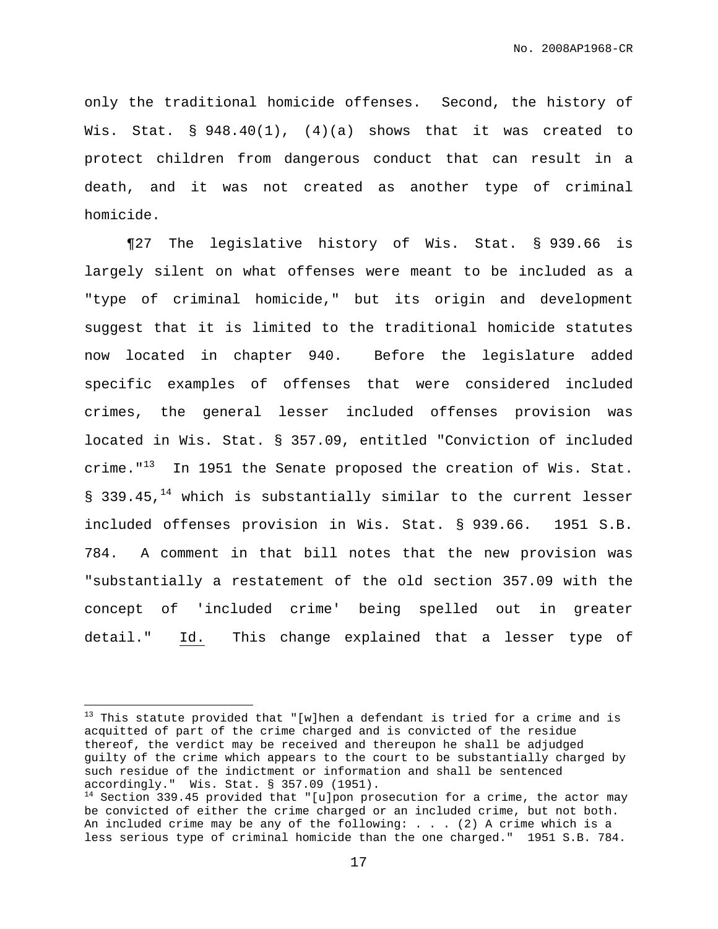only the traditional homicide offenses. Second, the history of Wis. Stat.  $\S$  948.40(1), (4)(a) shows that it was created to protect children from dangerous conduct that can result in a death, and it was not created as another type of criminal homicide.

¶27 The legislative history of Wis. Stat. § 939.66 is largely silent on what offenses were meant to be included as a "type of criminal homicide," but its origin and development suggest that it is limited to the traditional homicide statutes now located in chapter 940. Before the legislature added specific examples of offenses that were considered included crimes, the general lesser included offenses provision was located in Wis. Stat. § 357.09, entitled "Conviction of included crime."<sup>13</sup> In 1951 the Senate proposed the creation of Wis. Stat. § 339.45,<sup>14</sup> which is substantially similar to the current lesser included offenses provision in Wis. Stat. § 939.66. 1951 S.B. 784. A comment in that bill notes that the new provision was "substantially a restatement of the old section 357.09 with the concept of 'included crime' being spelled out in greater detail." Id. This change explained that a lesser type of

 $13$  This statute provided that "[w]hen a defendant is tried for a crime and is acquitted of part of the crime charged and is convicted of the residue thereof, the verdict may be received and thereupon he shall be adjudged guilty of the crime which appears to the court to be substantially charged by such residue of the indictment or information and shall be sentenced accordingly." Wis. Stat. § 357.09 (1951).

 $14$  Section 339.45 provided that "[u]pon prosecution for a crime, the actor may be convicted of either the crime charged or an included crime, but not both. An included crime may be any of the following: . . . (2) A crime which is a less serious type of criminal homicide than the one charged." 1951 S.B. 784.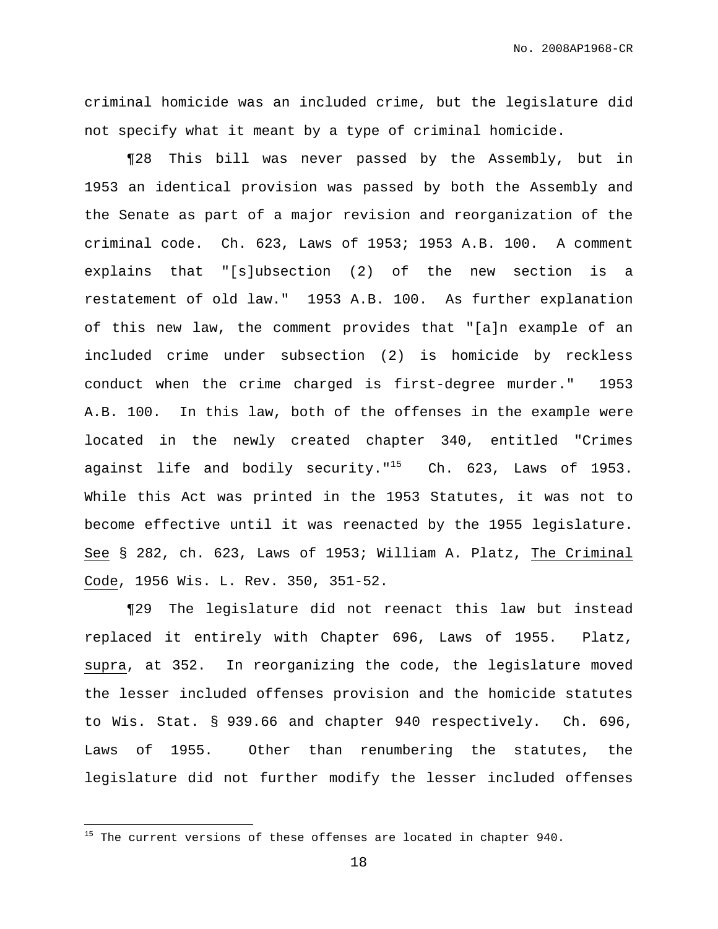criminal homicide was an included crime, but the legislature did not specify what it meant by a type of criminal homicide.

¶28 This bill was never passed by the Assembly, but in 1953 an identical provision was passed by both the Assembly and the Senate as part of a major revision and reorganization of the criminal code. Ch. 623, Laws of 1953; 1953 A.B. 100. A comment explains that "[s]ubsection  $(2)$  of the new section is restatement of old law." 1953 A.B. 100. As further explanation of this new law, the comment provides that "[a]n example of an included crime under subsection (2) is homicide by reckless conduct when the crime charged is first-degree murder." 1953 A.B. 100. In this law, both of the offenses in the example were located in the newly created chapter 340, entitled "Crimes against life and bodily security."<sup>15</sup> Ch. 623, Laws of 1953. While this Act was printed in the 1953 Statutes, it was not to become effective until it was reenacted by the 1955 legislature. See § 282, ch. 623, Laws of 1953; William A. Platz, The Criminal Code, 1956 Wis. L. Rev. 350, 351-52.

¶29 The legislature did not reenact this law but instead replaced it entirely with Chapter 696, Laws of 1955. Platz, supra, at 352. In reorganizing the code, the legislature moved the lesser included offenses provision and the homicide statutes to Wis. Stat. § 939.66 and chapter 940 respectively. Ch. 696, Laws of 1955. Other than renumbering the statutes, the legislature did not further modify the lesser included offenses

 $15$  The current versions of these offenses are located in chapter 940.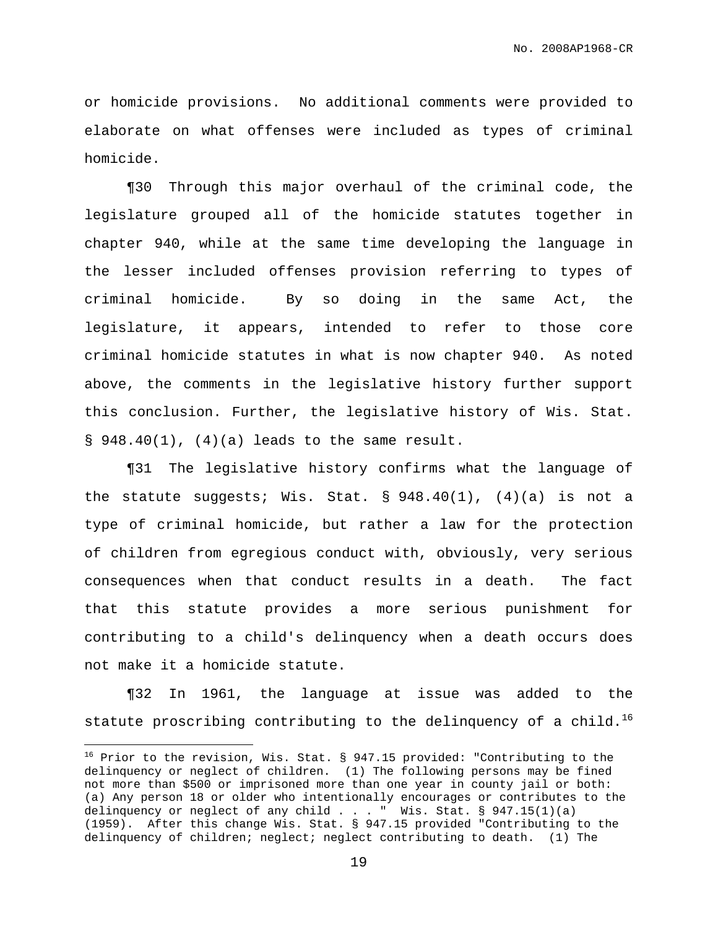or homicide provisions. No additional comments were provided to elaborate on what offenses were included as types of criminal homicide.

¶30 Through this major overhaul of the criminal code, the legislature grouped all of the homicide statutes together in chapter 940, while at the same time developing the language in the lesser included offenses provision referring to types of criminal homicide. By so doing in the same Act, the legislature, it appears, intended to refer to those core criminal homicide statutes in what is now chapter 940. As noted above, the comments in the legislative history further support this conclusion. Further, the legislative history of Wis. Stat.  $\S$  948.40(1), (4)(a) leads to the same result.

¶31 The legislative history confirms what the language of the statute suggests; Wis. Stat. §  $948.40(1)$ ,  $(4)(a)$  is not a type of criminal homicide, but rather a law for the protection of children from egregious conduct with, obviously, very serious consequences when that conduct results in a death. The fact that this statute provides a more serious punishment for contributing to a child's delinquency when a death occurs does not make it a homicide statute.

¶32 In 1961, the language at issue was added to the statute proscribing contributing to the delinquency of a child. $^{16}$ 

<sup>&</sup>lt;sup>16</sup> Prior to the revision, Wis. Stat. § 947.15 provided: "Contributing to the delinquency or neglect of children. (1) The following persons may be fined not more than \$500 or imprisoned more than one year in county jail or both: (a) Any person 18 or older who intentionally encourages or contributes to the delinquency or neglect of any child . . . " Wis. Stat. § 947.15(1)(a) (1959). After this change Wis. Stat. § 947.15 provided "Contributing to the delinquency of children; neglect; neglect contributing to death. (1) The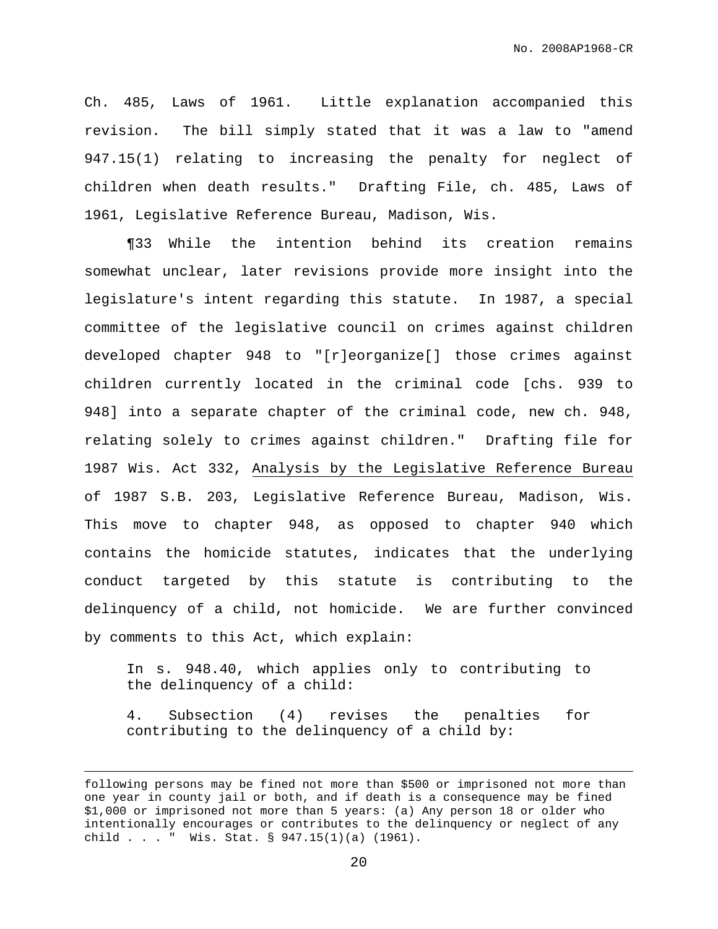Ch. 485, Laws of 1961. Little explanation accompanied this revision. The bill simply stated that it was a law to "amend 947.15(1) relating to increasing the penalty for neglect of children when death results." Drafting File, ch. 485, Laws of 1961, Legislative Reference Bureau, Madison, Wis.

¶33 While the intention behind its creation remains somewhat unclear, later revisions provide more insight into the legislature's intent regarding this statute. In 1987, a special committee of the legislative council on crimes against children developed chapter 948 to "[r]eorganize[] those crimes against children currently located in the criminal code [chs. 939 to 948] into a separate chapter of the criminal code, new ch. 948, relating solely to crimes against children." Drafting file for 1987 Wis. Act 332, Analysis by the Legislative Reference Bureau of 1987 S.B. 203, Legislative Reference Bureau, Madison, Wis. This move to chapter 948, as opposed to chapter 940 which contains the homicide statutes, indicates that the underlying conduct targeted by this statute is contributing to the delinquency of a child, not homicide. We are further convinced by comments to this Act, which explain:

In s. 948.40, which applies only to contributing to the delinquency of a child:

4. Subsection (4) revises the penalties for contributing to the delinquency of a child by:

following persons may be fined not more than \$500 or imprisoned not more than one year in county jail or both, and if death is a consequence may be fined \$1,000 or imprisoned not more than 5 years: (a) Any person 18 or older who intentionally encourages or contributes to the delinquency or neglect of any child . . . " Wis. Stat. § 947.15(1)(a) (1961).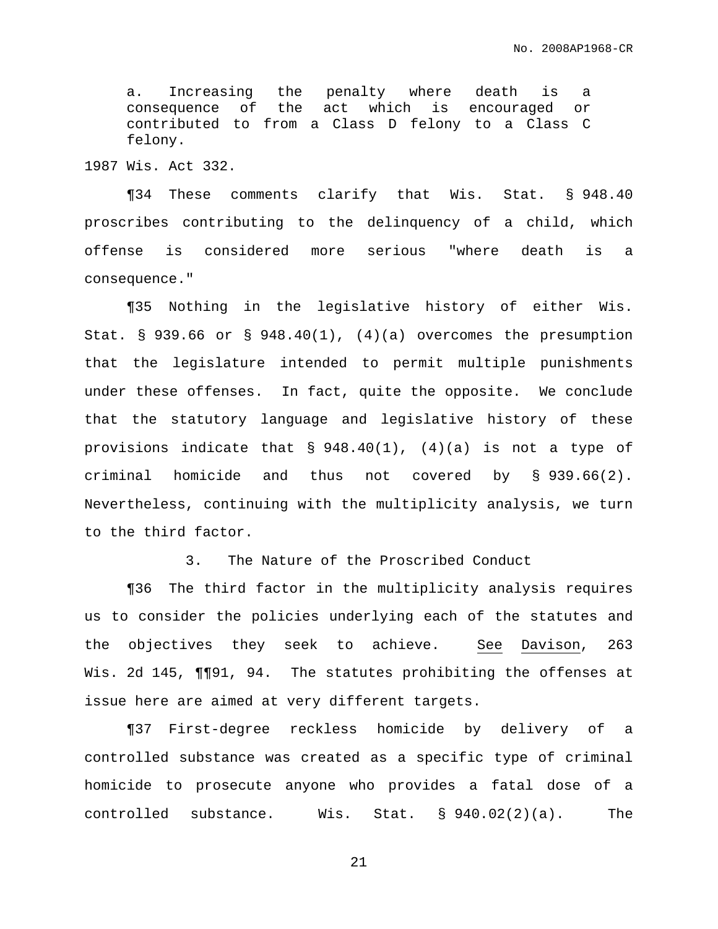a. Increasing the penalty where death is a consequence of the act which is encouraged or contributed to from a Class D felony to a Class C felony.

1987 Wis. Act 332.

¶34 These comments clarify that Wis. Stat. § 948.40 proscribes contributing to the delinquency of a child, which offense is considered more serious "where death is a consequence."

¶35 Nothing in the legislative history of either Wis. Stat. § 939.66 or § 948.40(1), (4)(a) overcomes the presumption that the legislature intended to permit multiple punishments under these offenses. In fact, quite the opposite. We conclude that the statutory language and legislative history of these provisions indicate that § 948.40(1), (4)(a) is not a type of criminal homicide and thus not covered by § 939.66(2). Nevertheless, continuing with the multiplicity analysis, we turn to the third factor.

3. The Nature of the Proscribed Conduct

¶36 The third factor in the multiplicity analysis requires us to consider the policies underlying each of the statutes and the objectives they seek to achieve. See Davison, 263 Wis. 2d 145,  $\P\P\P 91$ , 94. The statutes prohibiting the offenses at issue here are aimed at very different targets.

¶37 First-degree reckless homicide by delivery of a controlled substance was created as a specific type of criminal homicide to prosecute anyone who provides a fatal dose of a controlled substance. Wis. Stat. § 940.02(2)(a). The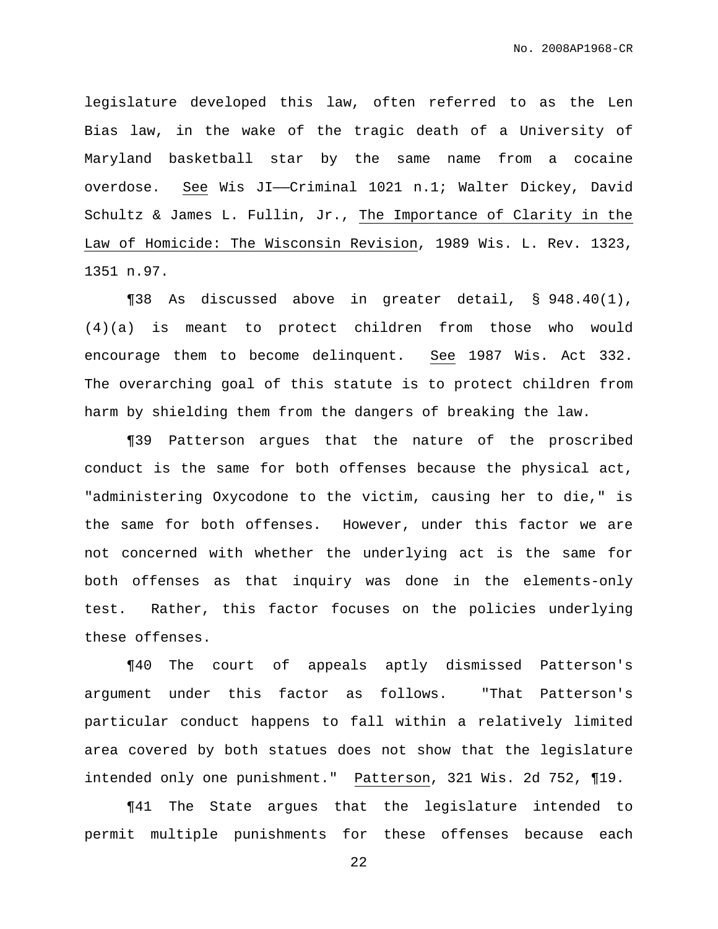legislature developed this law, often referred to as the Len Bias law, in the wake of the tragic death of a University of Maryland basketball star by the same name from a cocaine overdose. See Wis JI-Criminal 1021 n.1; Walter Dickey, David Schultz & James L. Fullin, Jr., The Importance of Clarity in the Law of Homicide: The Wisconsin Revision, 1989 Wis. L. Rev. 1323, 1351 n.97.

¶38 As discussed above in greater detail, § 948.40(1), (4)(a) is meant to protect children from those who would encourage them to become delinquent. See 1987 Wis. Act 332. The overarching goal of this statute is to protect children from harm by shielding them from the dangers of breaking the law.

¶39 Patterson argues that the nature of the proscribed conduct is the same for both offenses because the physical act, "administering Oxycodone to the victim, causing her to die," is the same for both offenses. However, under this factor we are not concerned with whether the underlying act is the same for both offenses as that inquiry was done in the elements-only test. Rather, this factor focuses on the policies underlying these offenses.

¶40 The court of appeals aptly dismissed Patterson's argument under this factor as follows. "That Patterson's particular conduct happens to fall within a relatively limited area covered by both statues does not show that the legislature intended only one punishment." Patterson, 321 Wis. 2d 752, ¶19.

¶41 The State argues that the legislature intended to permit multiple punishments for these offenses because each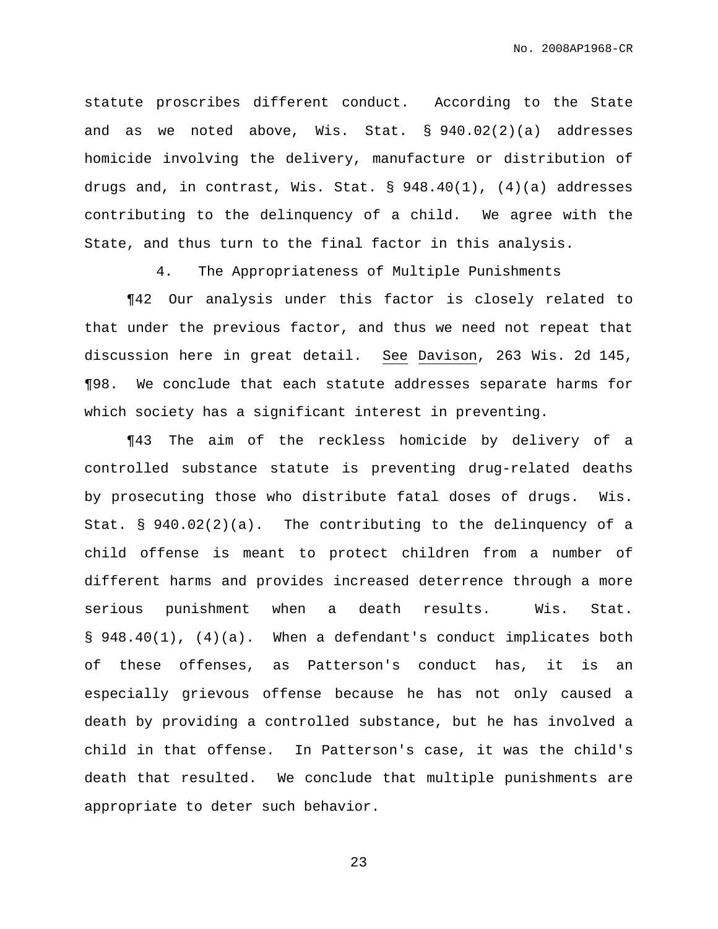statute proscribes different conduct. According to the State and as we noted above, Wis. Stat. § 940.02(2)(a) addresses homicide involving the delivery, manufacture or distribution of drugs and, in contrast, Wis. Stat. § 948.40(1), (4)(a) addresses contributing to the delinquency of a child. We agree with the State, and thus turn to the final factor in this analysis.

4. The Appropriateness of Multiple Punishments

¶42 Our analysis under this factor is closely related to that under the previous factor, and thus we need not repeat that discussion here in great detail. See Davison, 263 Wis. 2d 145, ¶98. We conclude that each statute addresses separate harms for which society has a significant interest in preventing.

¶43 The aim of the reckless homicide by delivery of a controlled substance statute is preventing drug-related deaths by prosecuting those who distribute fatal doses of drugs. Wis. Stat. § 940.02(2)(a). The contributing to the delinquency of a child offense is meant to protect children from a number of different harms and provides increased deterrence through a more serious punishment when a death results. Wis. Stat. § 948.40(1), (4)(a). When a defendant's conduct implicates both of these offenses, as Patterson's conduct has, it is an especially grievous offense because he has not only caused a death by providing a controlled substance, but he has involved a child in that offense. In Patterson's case, it was the child's death that resulted. We conclude that multiple punishments are appropriate to deter such behavior.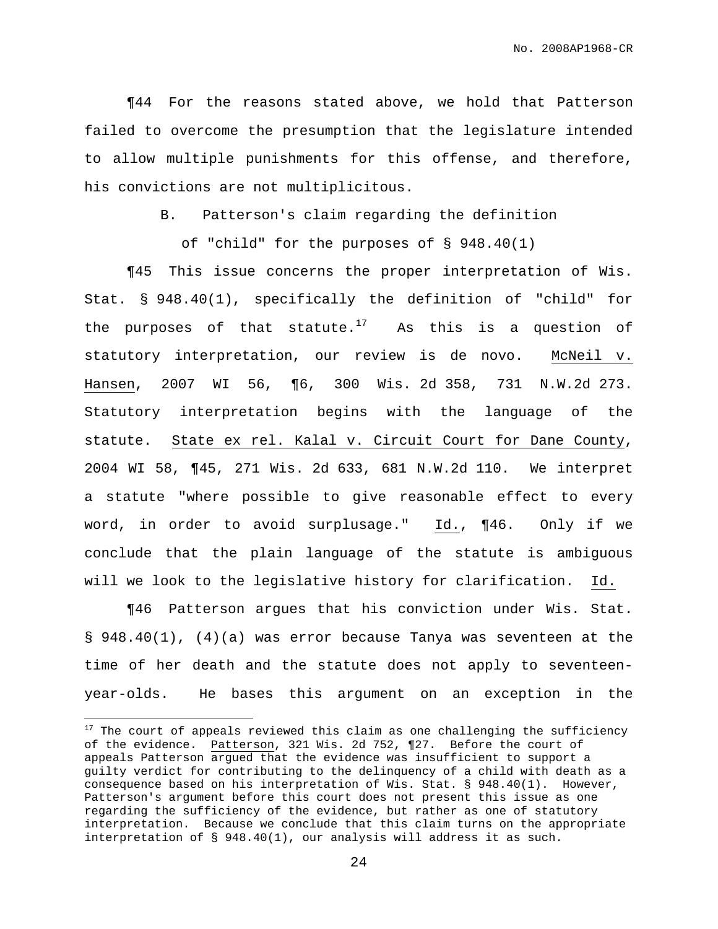¶44 For the reasons stated above, we hold that Patterson failed to overcome the presumption that the legislature intended to allow multiple punishments for this offense, and therefore, his convictions are not multiplicitous.

B. Patterson's claim regarding the definition

of "child" for the purposes of § 948.40(1)

¶45 This issue concerns the proper interpretation of Wis. Stat. § 948.40(1), specifically the definition of "child" for the purposes of that statute.<sup>17</sup> As this is a question of statutory interpretation, our review is de novo. McNeil v. Hansen, 2007 WI 56, ¶6, 300 Wis. 2d 358, 731 N.W.2d 273. Statutory interpretation begins with the language of the statute. State ex rel. Kalal v. Circuit Court for Dane County, 2004 WI 58, ¶45, 271 Wis. 2d 633, 681 N.W.2d 110. We interpret a statute "where possible to give reasonable effect to every word, in order to avoid surplusage." Id., ¶46. Only if we conclude that the plain language of the statute is ambiguous will we look to the legislative history for clarification. Id.

¶46 Patterson argues that his conviction under Wis. Stat. § 948.40(1), (4)(a) was error because Tanya was seventeen at the time of her death and the statute does not apply to seventeenyear-olds. He bases this argument on an exception in the

 $17$  The court of appeals reviewed this claim as one challenging the sufficiency of the evidence. Patterson, 321 Wis. 2d 752, 127. Before the court of appeals Patterson argued that the evidence was insufficient to support a guilty verdict for contributing to the delinquency of a child with death as a consequence based on his interpretation of Wis. Stat. § 948.40(1). However, Patterson's argument before this court does not present this issue as one regarding the sufficiency of the evidence, but rather as one of statutory interpretation. Because we conclude that this claim turns on the appropriate interpretation of § 948.40(1), our analysis will address it as such.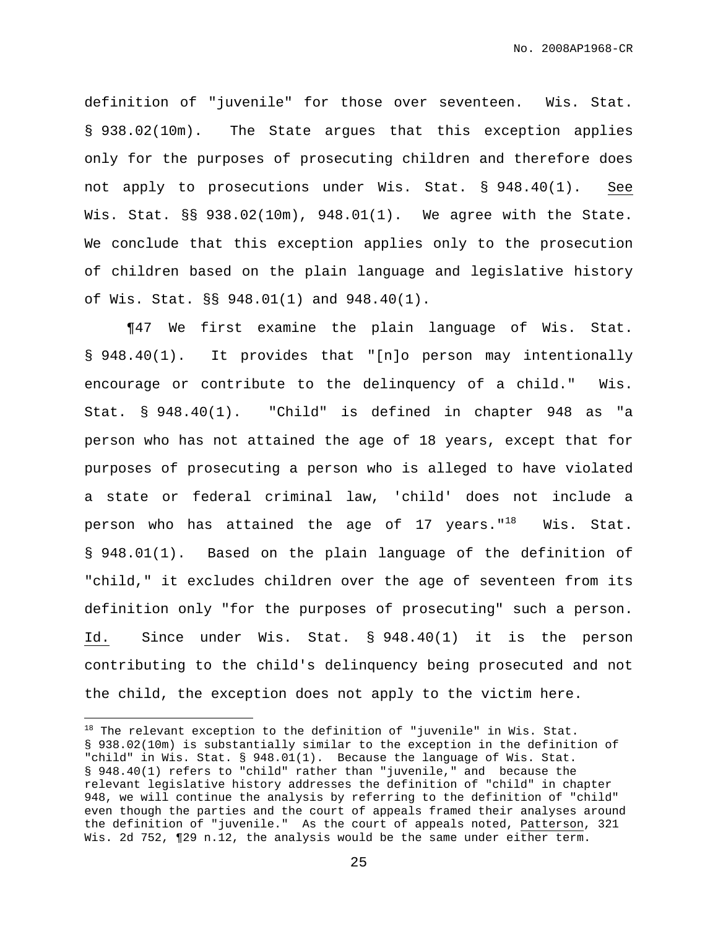definition of "juvenile" for those over seventeen. Wis. Stat. § 938.02(10m). The State argues that this exception applies only for the purposes of prosecuting children and therefore does not apply to prosecutions under Wis. Stat. § 948.40(1). See Wis. Stat. §§ 938.02(10m), 948.01(1). We agree with the State. We conclude that this exception applies only to the prosecution of children based on the plain language and legislative history of Wis. Stat. §§ 948.01(1) and 948.40(1).

¶47 We first examine the plain language of Wis. Stat. § 948.40(1). It provides that "[n]o person may intentionally encourage or contribute to the delinquency of a child." Wis. Stat. § 948.40(1). "Child" is defined in chapter 948 as "a person who has not attained the age of 18 years, except that for purposes of prosecuting a person who is alleged to have violated a state or federal criminal law, 'child' does not include a person who has attained the age of 17 years."<sup>18</sup> Wis. Stat. § 948.01(1). Based on the plain language of the definition of "child," it excludes children over the age of seventeen from its definition only "for the purposes of prosecuting" such a person. Id. Since under Wis. Stat. § 948.40(1) it is the person contributing to the child's delinquency being prosecuted and not the child, the exception does not apply to the victim here.

 $18$  The relevant exception to the definition of "juvenile" in Wis. Stat. § 938.02(10m) is substantially similar to the exception in the definition of "child" in Wis. Stat. § 948.01(1). Because the language of Wis. Stat. § 948.40(1) refers to "child" rather than "juvenile," and because the relevant legislative history addresses the definition of "child" in chapter 948, we will continue the analysis by referring to the definition of "child" even though the parties and the court of appeals framed their analyses around the definition of "juvenile." As the court of appeals noted, Patterson, 321 Wis. 2d 752, ¶29 n.12, the analysis would be the same under either term.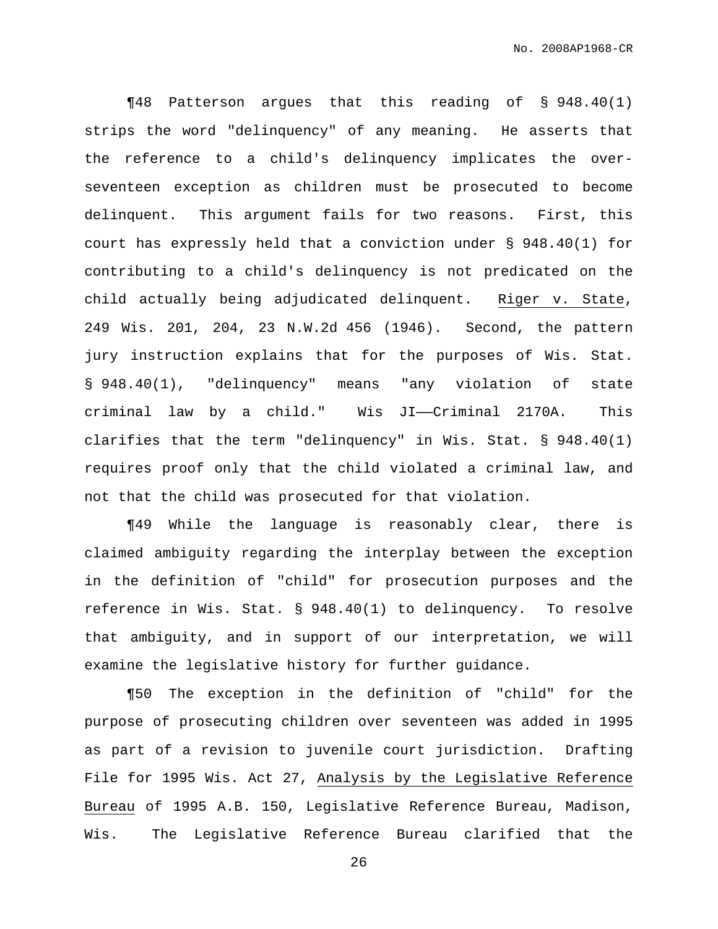¶48 Patterson argues that this reading of § 948.40(1) strips the word "delinquency" of any meaning. He asserts that the reference to a child's delinquency implicates the overseventeen exception as children must be prosecuted to become delinquent. This argument fails for two reasons. First, this court has expressly held that a conviction under § 948.40(1) for contributing to a child's delinquency is not predicated on the child actually being adjudicated delinquent. Riger v. State, 249 Wis. 201, 204, 23 N.W.2d 456 (1946). Second, the pattern jury instruction explains that for the purposes of Wis. Stat. § 948.40(1), "delinquency" means "any violation of state criminal law by a child." Wis JI——Criminal 2170A. This clarifies that the term "delinquency" in Wis. Stat. § 948.40(1) requires proof only that the child violated a criminal law, and not that the child was prosecuted for that violation.

¶49 While the language is reasonably clear, there is claimed ambiguity regarding the interplay between the exception in the definition of "child" for prosecution purposes and the reference in Wis. Stat. § 948.40(1) to delinquency. To resolve that ambiguity, and in support of our interpretation, we will examine the legislative history for further guidance.

¶50 The exception in the definition of "child" for the purpose of prosecuting children over seventeen was added in 1995 as part of a revision to juvenile court jurisdiction. Drafting File for 1995 Wis. Act 27, Analysis by the Legislative Reference Bureau of 1995 A.B. 150, Legislative Reference Bureau, Madison, Wis. The Legislative Reference Bureau clarified that the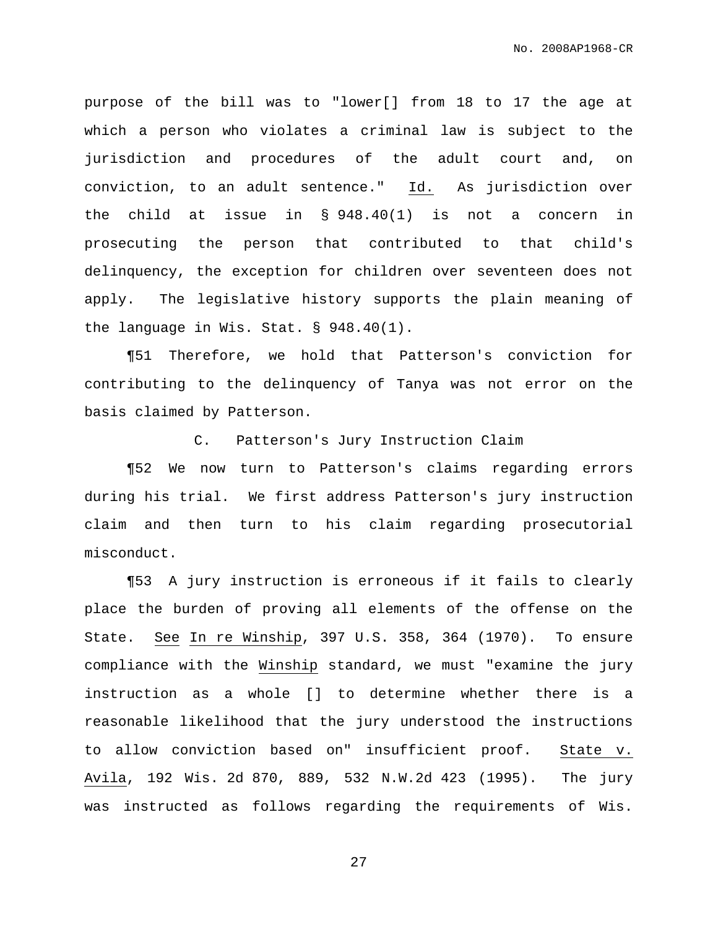purpose of the bill was to "lower[] from 18 to 17 the age at which a person who violates a criminal law is subject to the jurisdiction and procedures of the adult court and, on conviction, to an adult sentence." Id. As jurisdiction over the child at issue in  $\S$  948.40(1) is not a concern in prosecuting the person that contributed to that child's delinquency, the exception for children over seventeen does not apply. The legislative history supports the plain meaning of the language in Wis. Stat. § 948.40(1).

¶51 Therefore, we hold that Patterson's conviction for contributing to the delinquency of Tanya was not error on the basis claimed by Patterson.

C. Patterson's Jury Instruction Claim

¶52 We now turn to Patterson's claims regarding errors during his trial. We first address Patterson's jury instruction claim and then turn to his claim regarding prosecutorial misconduct.

¶53 A jury instruction is erroneous if it fails to clearly place the burden of proving all elements of the offense on the State. See In re Winship, 397 U.S. 358, 364 (1970). To ensure compliance with the Winship standard, we must "examine the jury instruction as a whole [] to determine whether there is a reasonable likelihood that the jury understood the instructions to allow conviction based on" insufficient proof. State v. Avila, 192 Wis. 2d 870, 889, 532 N.W.2d 423 (1995). The jury was instructed as follows regarding the requirements of Wis.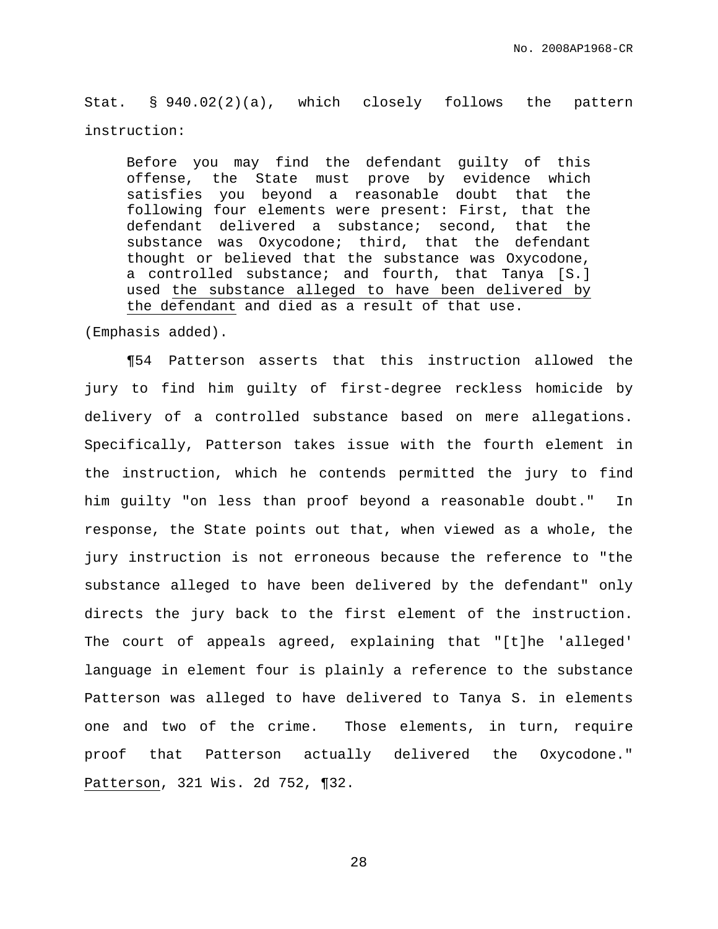Stat. § 940.02(2)(a), which closely follows the pattern instruction:

Before you may find the defendant guilty of this offense, the State must prove by evidence which satisfies you beyond a reasonable doubt that the following four elements were present: First, that the defendant delivered a substance; second, that the substance was Oxycodone; third, that the defendant thought or believed that the substance was Oxycodone, a controlled substance; and fourth, that Tanya [S.] used the substance alleged to have been delivered by the defendant and died as a result of that use.

(Emphasis added).

¶54 Patterson asserts that this instruction allowed the jury to find him guilty of first-degree reckless homicide by delivery of a controlled substance based on mere allegations. Specifically, Patterson takes issue with the fourth element in the instruction, which he contends permitted the jury to find him guilty "on less than proof beyond a reasonable doubt." In response, the State points out that, when viewed as a whole, the jury instruction is not erroneous because the reference to "the substance alleged to have been delivered by the defendant" only directs the jury back to the first element of the instruction. The court of appeals agreed, explaining that "[t]he 'alleged' language in element four is plainly a reference to the substance Patterson was alleged to have delivered to Tanya S. in elements one and two of the crime. Those elements, in turn, require proof that Patterson actually delivered the Oxycodone." Patterson, 321 Wis. 2d 752, ¶32.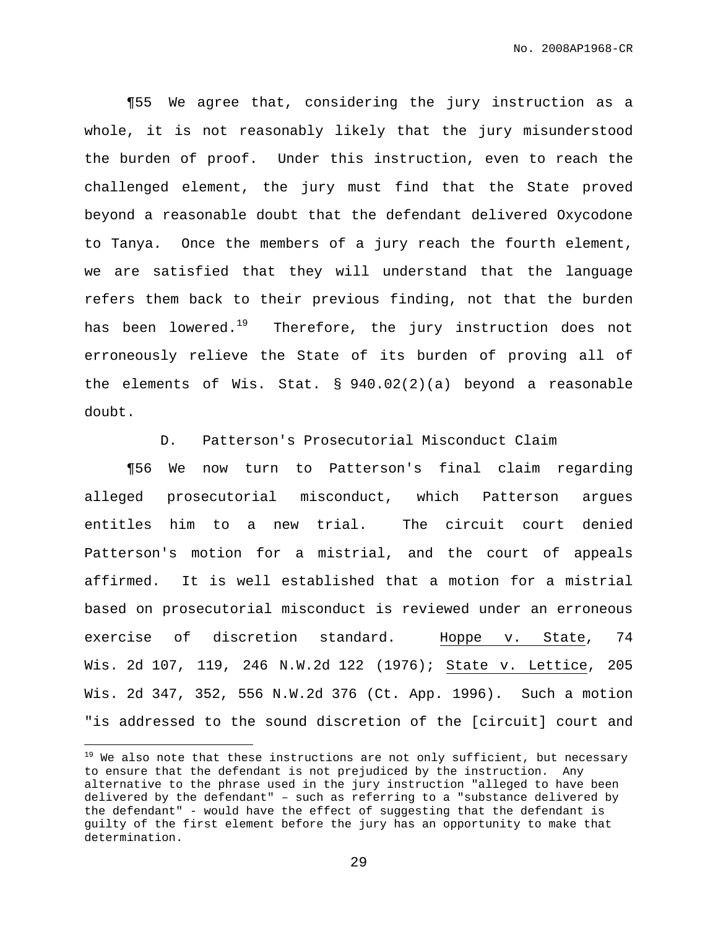¶55 We agree that, considering the jury instruction as a whole, it is not reasonably likely that the jury misunderstood the burden of proof. Under this instruction, even to reach the challenged element, the jury must find that the State proved beyond a reasonable doubt that the defendant delivered Oxycodone to Tanya. Once the members of a jury reach the fourth element, we are satisfied that they will understand that the language refers them back to their previous finding, not that the burden has been lowered.<sup>19</sup> Therefore, the jury instruction does not erroneously relieve the State of its burden of proving all of the elements of Wis. Stat. § 940.02(2)(a) beyond a reasonable doubt.

D. Patterson's Prosecutorial Misconduct Claim

¶56 We now turn to Patterson's final claim regarding alleged prosecutorial misconduct, which Patterson argues entitles him to a new trial. The circuit court denied Patterson's motion for a mistrial, and the court of appeals affirmed. It is well established that a motion for a mistrial based on prosecutorial misconduct is reviewed under an erroneous exercise of discretion standard. Hoppe v. State, 74 Wis. 2d 107, 119, 246 N.W.2d 122 (1976); State v. Lettice, 205 Wis. 2d 347, 352, 556 N.W.2d 376 (Ct. App. 1996). Such a motion "is addressed to the sound discretion of the [circuit] court and

 $19$  We also note that these instructions are not only sufficient, but necessary to ensure that the defendant is not prejudiced by the instruction. Any alternative to the phrase used in the jury instruction "alleged to have been delivered by the defendant" – such as referring to a "substance delivered by the defendant" - would have the effect of suggesting that the defendant is guilty of the first element before the jury has an opportunity to make that determination.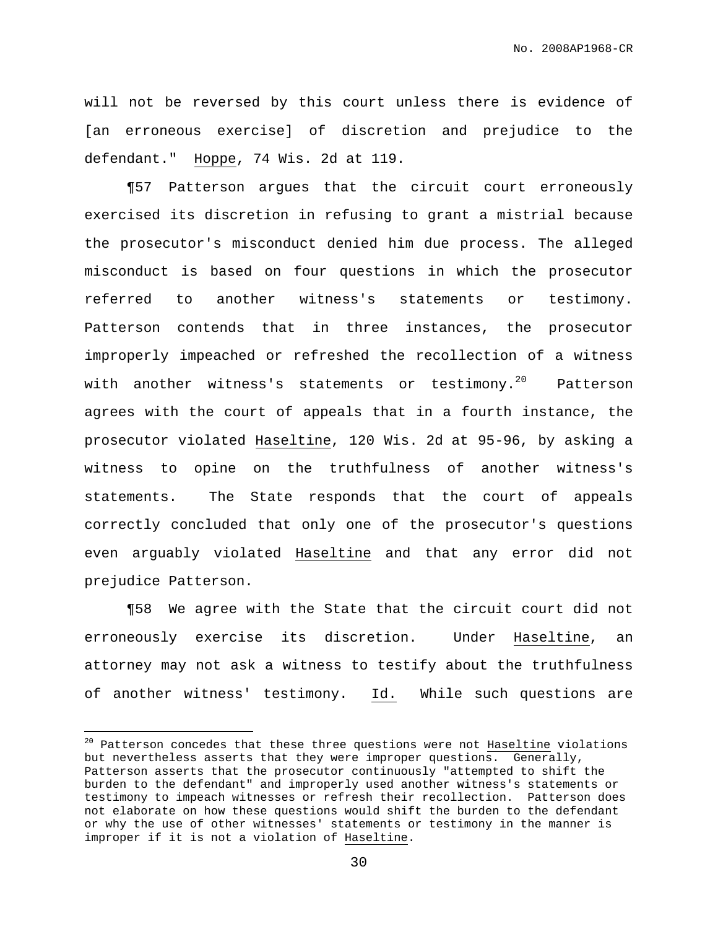No. 2008AP1968-CR

will not be reversed by this court unless there is evidence of [an erroneous exercise] of discretion and prejudice to the defendant." Hoppe, 74 Wis. 2d at 119.

¶57 Patterson argues that the circuit court erroneously exercised its discretion in refusing to grant a mistrial because the prosecutor's misconduct denied him due process. The alleged misconduct is based on four questions in which the prosecutor referred to another witness's statements or testimony. Patterson contends that in three instances, the prosecutor improperly impeached or refreshed the recollection of a witness with another witness's statements or testimony.<sup>20</sup> Patterson agrees with the court of appeals that in a fourth instance, the prosecutor violated Haseltine, 120 Wis. 2d at 95-96, by asking a witness to opine on the truthfulness of another witness's statements. The State responds that the court of appeals correctly concluded that only one of the prosecutor's questions even arguably violated Haseltine and that any error did not prejudice Patterson.

¶58 We agree with the State that the circuit court did not erroneously exercise its discretion. Under Haseltine, an attorney may not ask a witness to testify about the truthfulness of another witness' testimony.  $\underline{Id.}$  While such questions are

<sup>&</sup>lt;sup>20</sup> Patterson concedes that these three questions were not **Haseltine** violations but nevertheless asserts that they were improper questions. Generally, Patterson asserts that the prosecutor continuously "attempted to shift the burden to the defendant" and improperly used another witness's statements or testimony to impeach witnesses or refresh their recollection. Patterson does not elaborate on how these questions would shift the burden to the defendant or why the use of other witnesses' statements or testimony in the manner is improper if it is not a violation of Haseltine.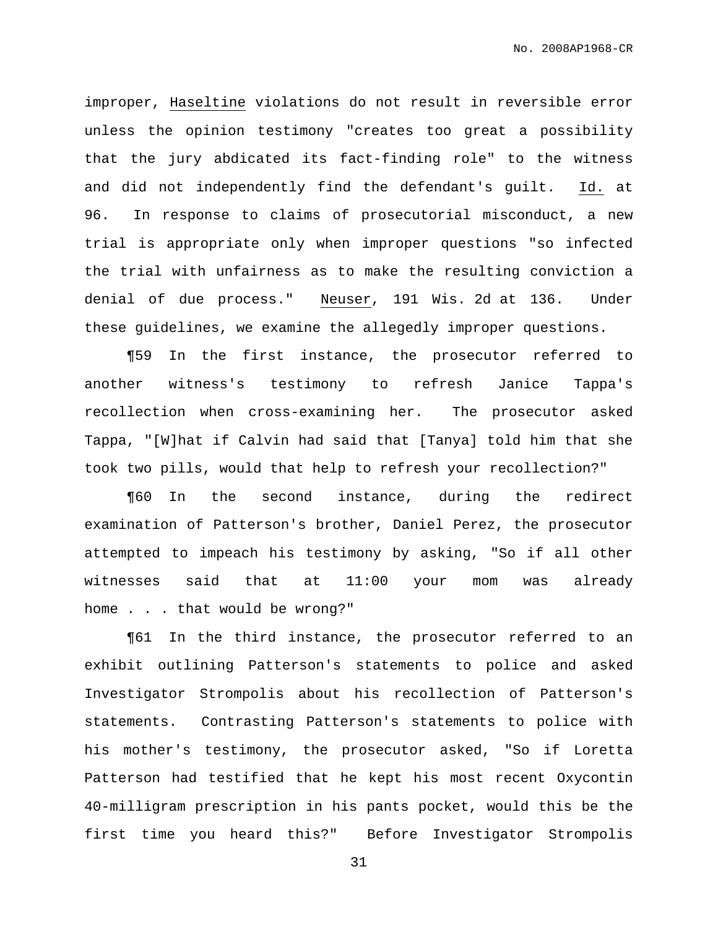improper, Haseltine violations do not result in reversible error unless the opinion testimony "creates too great a possibility that the jury abdicated its fact-finding role" to the witness and did not independently find the defendant's guilt. Id. at 96. In response to claims of prosecutorial misconduct, a new trial is appropriate only when improper questions "so infected the trial with unfairness as to make the resulting conviction a denial of due process." Neuser, 191 Wis. 2d at 136. Under these guidelines, we examine the allegedly improper questions.

¶59 In the first instance, the prosecutor referred to another witness's testimony to refresh Janice Tappa's recollection when cross-examining her. The prosecutor asked Tappa, "[W]hat if Calvin had said that [Tanya] told him that she took two pills, would that help to refresh your recollection?"

¶60 In the second instance, during the redirect examination of Patterson's brother, Daniel Perez, the prosecutor attempted to impeach his testimony by asking, "So if all other witnesses said that at 11:00 your mom was already home . . . that would be wrong?"

¶61 In the third instance, the prosecutor referred to an exhibit outlining Patterson's statements to police and asked Investigator Strompolis about his recollection of Patterson's statements. Contrasting Patterson's statements to police with his mother's testimony, the prosecutor asked, "So if Loretta Patterson had testified that he kept his most recent Oxycontin 40-milligram prescription in his pants pocket, would this be the first time you heard this?" Before Investigator Strompolis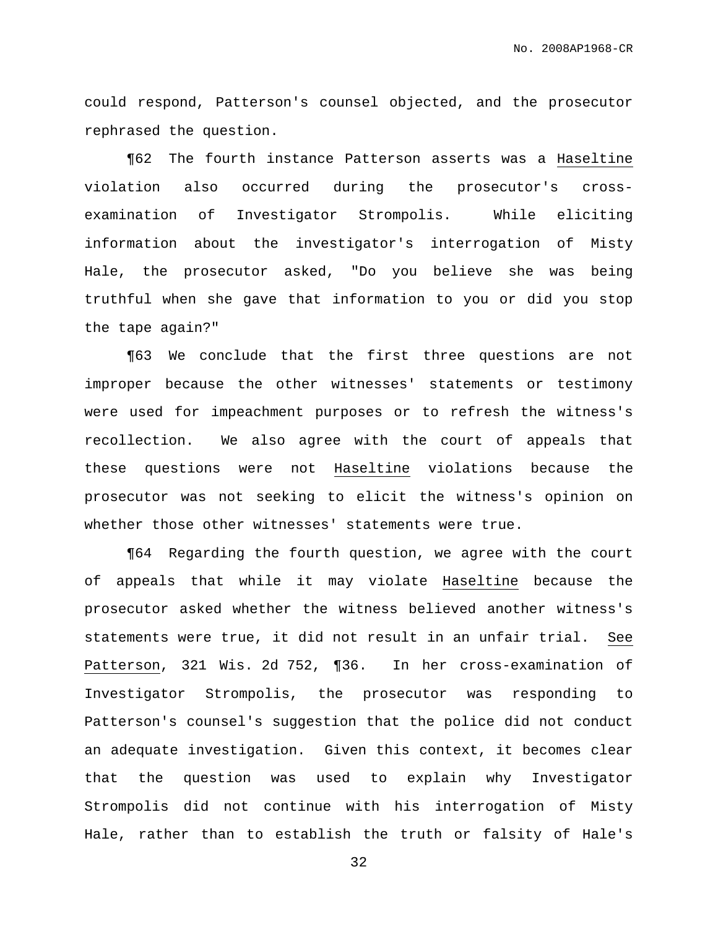could respond, Patterson's counsel objected, and the prosecutor rephrased the question.

¶62 The fourth instance Patterson asserts was a Haseltine violation also occurred during the prosecutor's crossexamination of Investigator Strompolis. While eliciting information about the investigator's interrogation of Misty Hale, the prosecutor asked, "Do you believe she was being truthful when she gave that information to you or did you stop the tape again?"

¶63 We conclude that the first three questions are not improper because the other witnesses' statements or testimony were used for impeachment purposes or to refresh the witness's recollection. We also agree with the court of appeals that these questions were not Haseltine violations because the prosecutor was not seeking to elicit the witness's opinion on whether those other witnesses' statements were true.

¶64 Regarding the fourth question, we agree with the court of appeals that while it may violate Haseltine because the prosecutor asked whether the witness believed another witness's statements were true, it did not result in an unfair trial. See Patterson, 321 Wis. 2d 752, ¶36. In her cross-examination of Investigator Strompolis, the prosecutor was responding to Patterson's counsel's suggestion that the police did not conduct an adequate investigation. Given this context, it becomes clear that the question was used to explain why Investigator Strompolis did not continue with his interrogation of Misty Hale, rather than to establish the truth or falsity of Hale's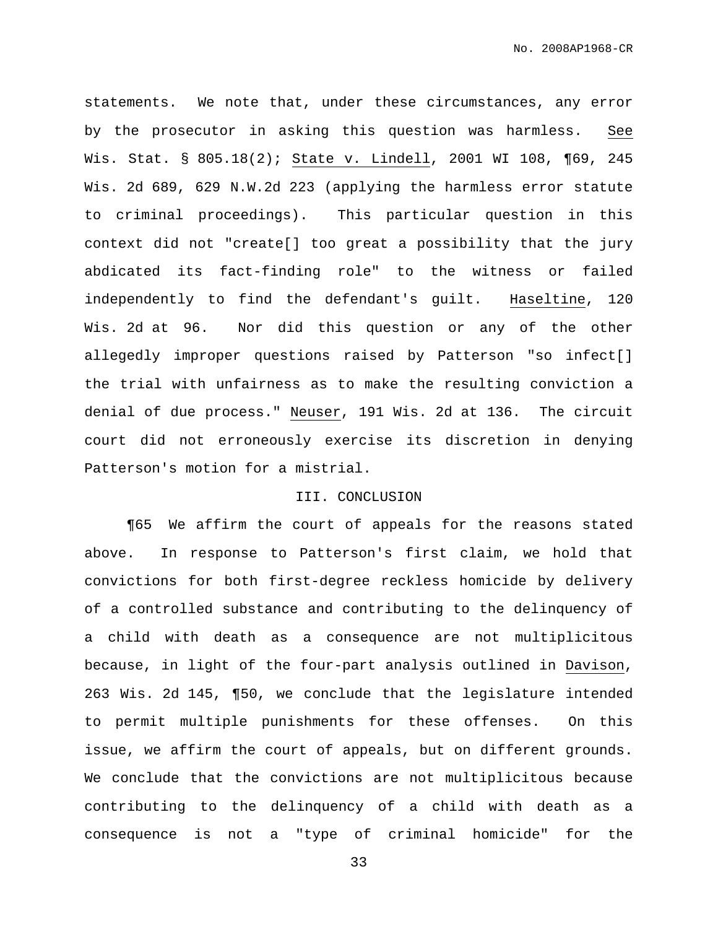statements. We note that, under these circumstances, any error by the prosecutor in asking this question was harmless. See Wis. Stat. § 805.18(2); State v. Lindell, 2001 WI 108, ¶69, 245 Wis. 2d 689, 629 N.W.2d 223 (applying the harmless error statute to criminal proceedings). This particular question in this context did not "create[] too great a possibility that the jury abdicated its fact-finding role" to the witness or failed independently to find the defendant's guilt. Haseltine, 120 Wis. 2d at 96. Nor did this question or any of the other allegedly improper questions raised by Patterson "so infect[] the trial with unfairness as to make the resulting conviction a denial of due process." Neuser, 191 Wis. 2d at 136. The circuit court did not erroneously exercise its discretion in denying Patterson's motion for a mistrial.

## III. CONCLUSION

¶65 We affirm the court of appeals for the reasons stated above. In response to Patterson's first claim, we hold that convictions for both first-degree reckless homicide by delivery of a controlled substance and contributing to the delinquency of a child with death as a consequence are not multiplicitous because, in light of the four-part analysis outlined in Davison, 263 Wis. 2d 145, ¶50, we conclude that the legislature intended to permit multiple punishments for these offenses. On this issue, we affirm the court of appeals, but on different grounds. We conclude that the convictions are not multiplicitous because contributing to the delinquency of a child with death as a consequence is not a "type of criminal homicide" for the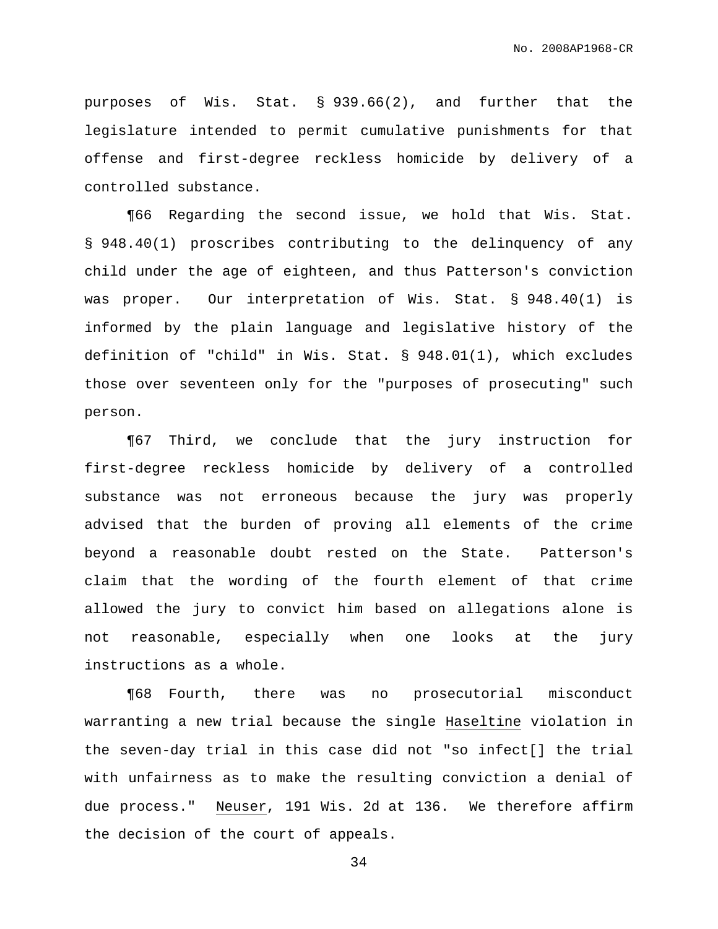purposes of Wis. Stat. § 939.66(2), and further that the legislature intended to permit cumulative punishments for that offense and first-degree reckless homicide by delivery of a controlled substance.

¶66 Regarding the second issue, we hold that Wis. Stat. § 948.40(1) proscribes contributing to the delinquency of any child under the age of eighteen, and thus Patterson's conviction was proper. Our interpretation of Wis. Stat. § 948.40(1) is informed by the plain language and legislative history of the definition of "child" in Wis. Stat. § 948.01(1), which excludes those over seventeen only for the "purposes of prosecuting" such person.

¶67 Third, we conclude that the jury instruction for first-degree reckless homicide by delivery of a controlled substance was not erroneous because the jury was properly advised that the burden of proving all elements of the crime beyond a reasonable doubt rested on the State. Patterson's claim that the wording of the fourth element of that crime allowed the jury to convict him based on allegations alone is not reasonable, especially when one looks at the jury instructions as a whole.

¶68 Fourth, there was no prosecutorial misconduct warranting a new trial because the single Haseltine violation in the seven-day trial in this case did not "so infect[] the trial with unfairness as to make the resulting conviction a denial of due process." Neuser, 191 Wis. 2d at 136. We therefore affirm the decision of the court of appeals.